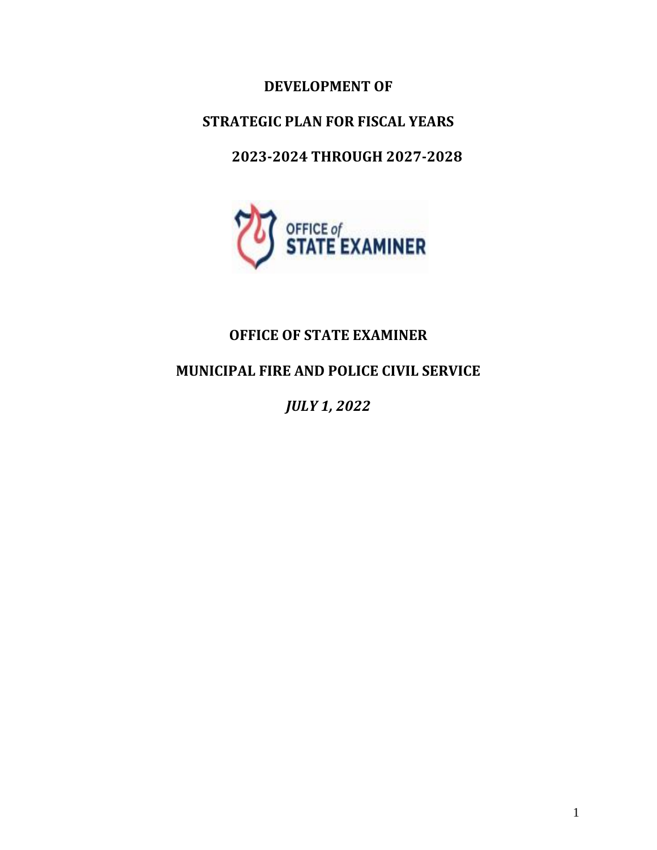# **DEVELOPMENT OF**

# **STRATEGIC PLAN FOR FISCAL YEARS**

# **2023-2024 THROUGH 2027-2028**



# **OFFICE OF STATE EXAMINER**

# **MUNICIPAL FIRE AND POLICE CIVIL SERVICE**

*JULY 1, 2022*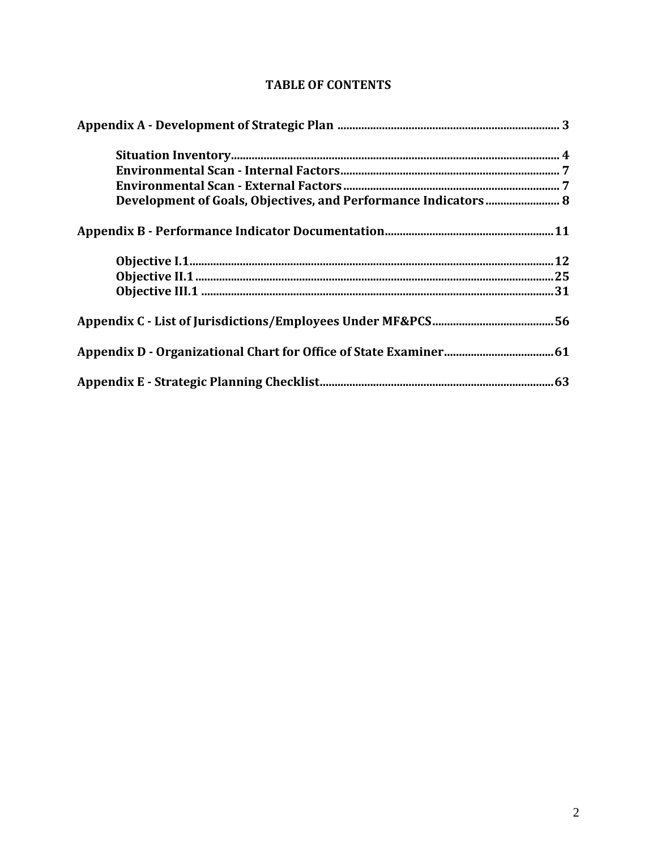| Development of Goals, Objectives, and Performance Indicators 8 |
|----------------------------------------------------------------|
|                                                                |
|                                                                |
|                                                                |
|                                                                |
|                                                                |
|                                                                |
|                                                                |

# **TABLE OF CONTENTS**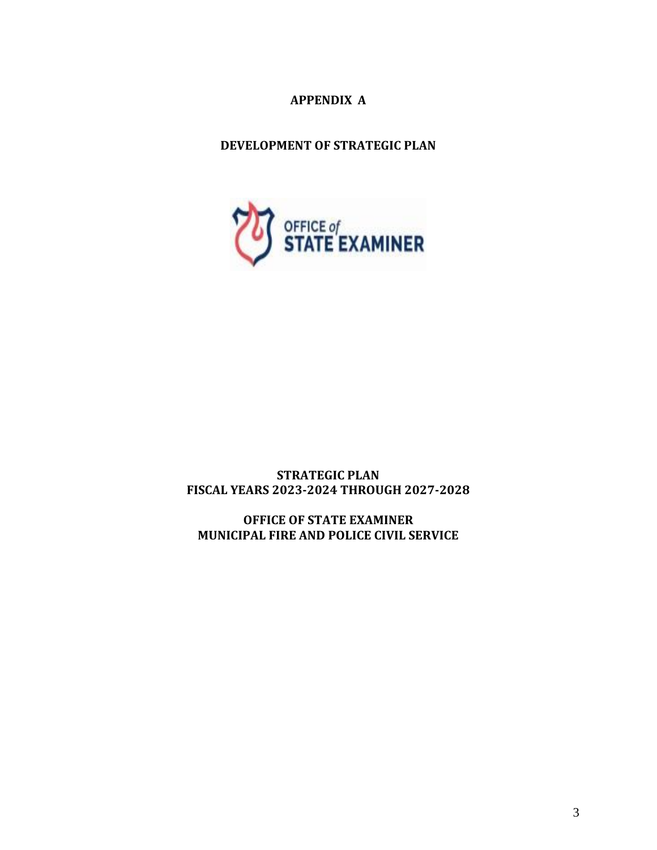# **APPENDIX A**

# **DEVELOPMENT OF STRATEGIC PLAN**



**STRATEGIC PLAN FISCAL YEARS 2023-2024 THROUGH 2027-2028**

**OFFICE OF STATE EXAMINER MUNICIPAL FIRE AND POLICE CIVIL SERVICE**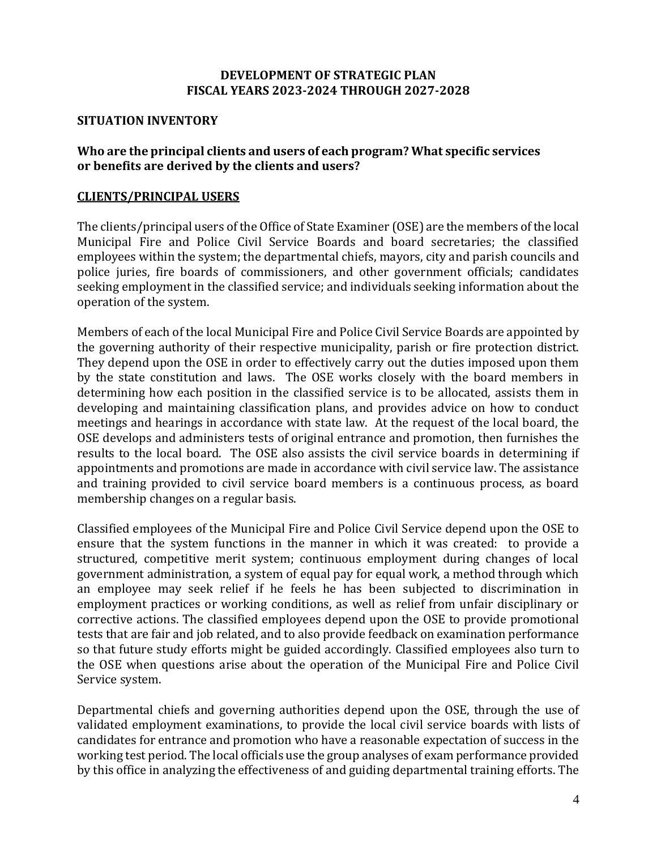# **DEVELOPMENT OF STRATEGIC PLAN FISCAL YEARS 2023-2024 THROUGH 2027-2028**

# **SITUATION INVENTORY**

# **Who are the principal clients and users of each program? What specific services or benefits are derived by the clients and users?**

# **CLIENTS/PRINCIPAL USERS**

The clients/principal users of the Office of State Examiner (OSE) are the members of the local Municipal Fire and Police Civil Service Boards and board secretaries; the classified employees within the system; the departmental chiefs, mayors, city and parish councils and police juries, fire boards of commissioners, and other government officials; candidates seeking employment in the classified service; and individuals seeking information about the operation of the system.

Members of each of the local Municipal Fire and Police Civil Service Boards are appointed by the governing authority of their respective municipality, parish or fire protection district. They depend upon the OSE in order to effectively carry out the duties imposed upon them by the state constitution and laws. The OSE works closely with the board members in determining how each position in the classified service is to be allocated, assists them in developing and maintaining classification plans, and provides advice on how to conduct meetings and hearings in accordance with state law. At the request of the local board, the OSE develops and administers tests of original entrance and promotion, then furnishes the results to the local board. The OSE also assists the civil service boards in determining if appointments and promotions are made in accordance with civil service law. The assistance and training provided to civil service board members is a continuous process, as board membership changes on a regular basis.

Classified employees of the Municipal Fire and Police Civil Service depend upon the OSE to ensure that the system functions in the manner in which it was created: to provide a structured, competitive merit system; continuous employment during changes of local government administration, a system of equal pay for equal work, a method through which an employee may seek relief if he feels he has been subjected to discrimination in employment practices or working conditions, as well as relief from unfair disciplinary or corrective actions. The classified employees depend upon the OSE to provide promotional tests that are fair and job related, and to also provide feedback on examination performance so that future study efforts might be guided accordingly. Classified employees also turn to the OSE when questions arise about the operation of the Municipal Fire and Police Civil Service system.

Departmental chiefs and governing authorities depend upon the OSE, through the use of validated employment examinations, to provide the local civil service boards with lists of candidates for entrance and promotion who have a reasonable expectation of success in the working test period. The local officials use the group analyses of exam performance provided by this office in analyzing the effectiveness of and guiding departmental training efforts. The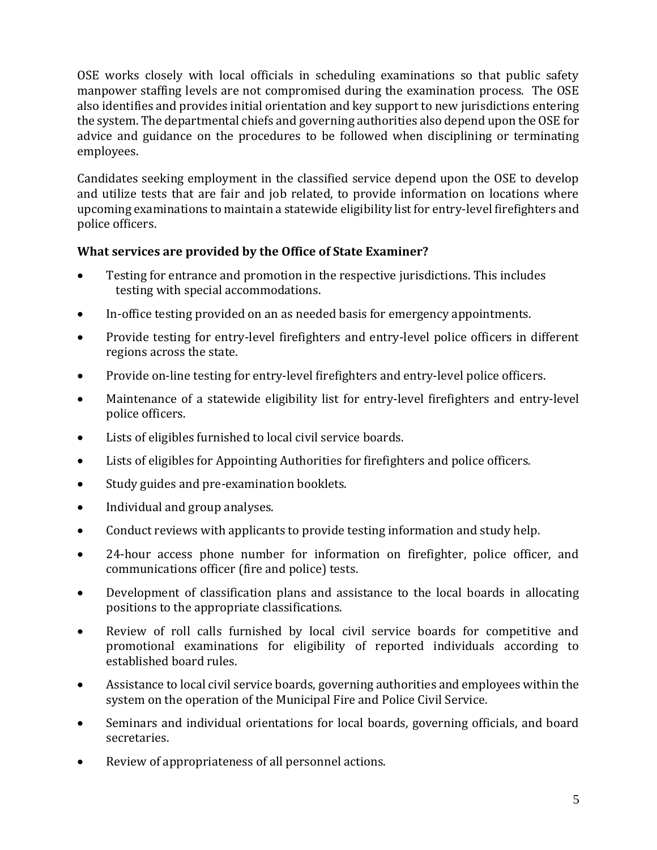OSE works closely with local officials in scheduling examinations so that public safety manpower staffing levels are not compromised during the examination process. The OSE also identifies and provides initial orientation and key support to new jurisdictions entering the system. The departmental chiefs and governing authorities also depend upon the OSE for advice and guidance on the procedures to be followed when disciplining or terminating employees.

Candidates seeking employment in the classified service depend upon the OSE to develop and utilize tests that are fair and job related, to provide information on locations where upcoming examinations to maintain a statewide eligibility list for entry-level firefighters and police officers.

# **What services are provided by the Office of State Examiner?**

- Testing for entrance and promotion in the respective jurisdictions. This includes testing with special accommodations.
- In-office testing provided on an as needed basis for emergency appointments.
- Provide testing for entry-level firefighters and entry-level police officers in different regions across the state.
- Provide on-line testing for entry-level firefighters and entry-level police officers.
- Maintenance of a statewide eligibility list for entry-level firefighters and entry-level police officers.
- Lists of eligibles furnished to local civil service boards.
- Lists of eligibles for Appointing Authorities for firefighters and police officers.
- Study guides and pre-examination booklets.
- Individual and group analyses.
- Conduct reviews with applicants to provide testing information and study help.
- 24-hour access phone number for information on firefighter, police officer, and communications officer (fire and police) tests.
- Development of classification plans and assistance to the local boards in allocating positions to the appropriate classifications.
- Review of roll calls furnished by local civil service boards for competitive and promotional examinations for eligibility of reported individuals according to established board rules.
- Assistance to local civil service boards, governing authorities and employees within the system on the operation of the Municipal Fire and Police Civil Service.
- Seminars and individual orientations for local boards, governing officials, and board secretaries.
- Review of appropriateness of all personnel actions.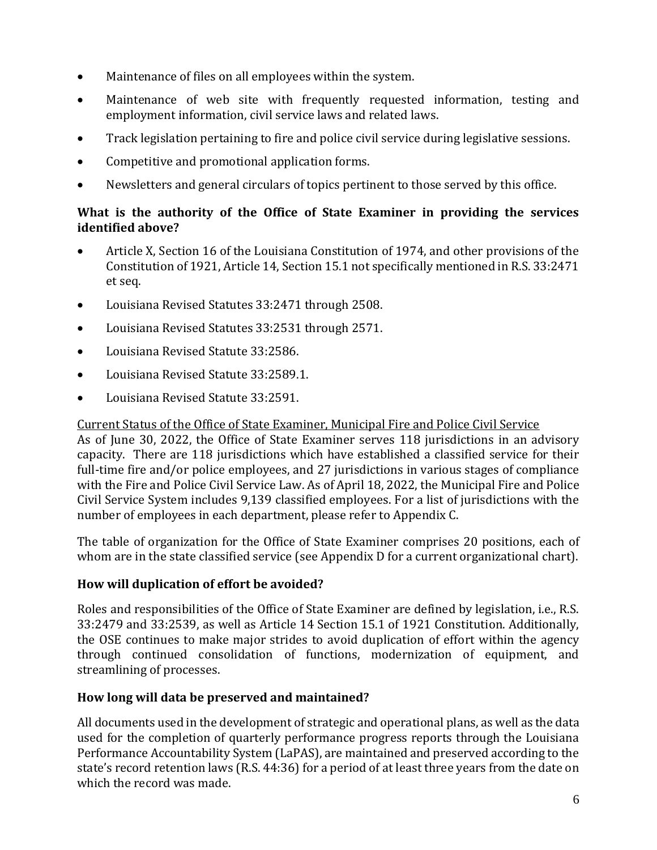- Maintenance of files on all employees within the system.
- Maintenance of web site with frequently requested information, testing and employment information, civil service laws and related laws.
- Track legislation pertaining to fire and police civil service during legislative sessions.
- Competitive and promotional application forms.
- Newsletters and general circulars of topics pertinent to those served by this office.

# **What is the authority of the Office of State Examiner in providing the services identified above?**

- Article X, Section 16 of the Louisiana Constitution of 1974, and other provisions of the Constitution of 1921, Article 14, Section 15.1 not specifically mentioned in R.S. 33:2471 et seq.
- Louisiana Revised Statutes 33:2471 through 2508.
- Louisiana Revised Statutes 33:2531 through 2571.
- Louisiana Revised Statute 33:2586.
- Louisiana Revised Statute 33:2589.1.
- Louisiana Revised Statute 33:2591.

Current Status of the Office of State Examiner, Municipal Fire and Police Civil Service

As of June 30, 2022, the Office of State Examiner serves 118 jurisdictions in an advisory capacity. There are 118 jurisdictions which have established a classified service for their full-time fire and/or police employees, and 27 jurisdictions in various stages of compliance with the Fire and Police Civil Service Law. As of April 18, 2022, the Municipal Fire and Police Civil Service System includes 9,139 classified employees. For a list of jurisdictions with the number of employees in each department, please refer to Appendix C.

The table of organization for the Office of State Examiner comprises 20 positions, each of whom are in the state classified service (see Appendix D for a current organizational chart).

# **How will duplication of effort be avoided?**

Roles and responsibilities of the Office of State Examiner are defined by legislation, i.e., R.S. 33:2479 and 33:2539, as well as Article 14 Section 15.1 of 1921 Constitution. Additionally, the OSE continues to make major strides to avoid duplication of effort within the agency through continued consolidation of functions, modernization of equipment, and streamlining of processes.

# **How long will data be preserved and maintained?**

All documents used in the development of strategic and operational plans, as well as the data used for the completion of quarterly performance progress reports through the Louisiana Performance Accountability System (LaPAS), are maintained and preserved according to the state's record retention laws (R.S. 44:36) for a period of at least three years from the date on which the record was made.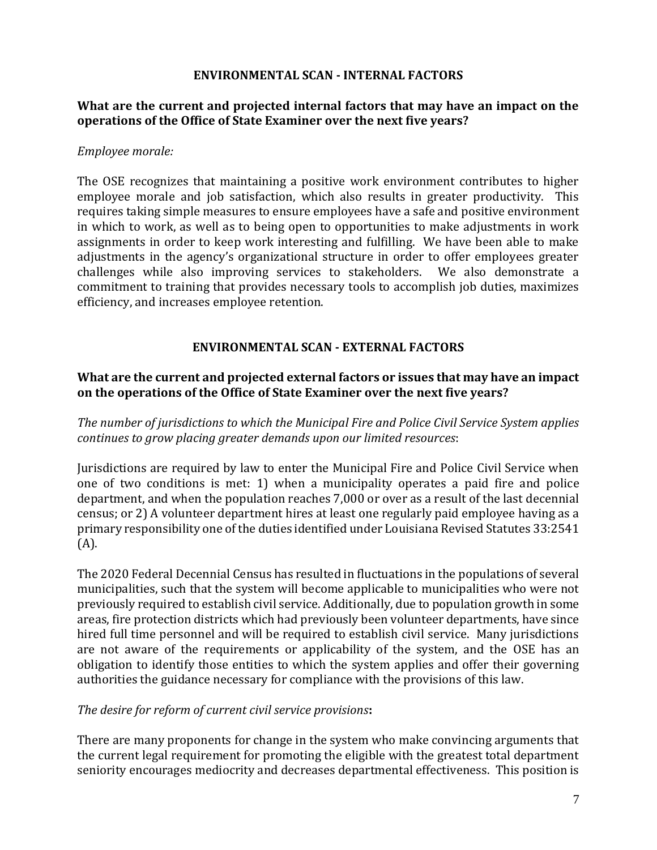# **ENVIRONMENTAL SCAN - INTERNAL FACTORS**

# **What are the current and projected internal factors that may have an impact on the operations of the Office of State Examiner over the next five years?**

# *Employee morale:*

The OSE recognizes that maintaining a positive work environment contributes to higher employee morale and job satisfaction, which also results in greater productivity. This requires taking simple measures to ensure employees have a safe and positive environment in which to work, as well as to being open to opportunities to make adjustments in work assignments in order to keep work interesting and fulfilling. We have been able to make adjustments in the agency's organizational structure in order to offer employees greater challenges while also improving services to stakeholders. We also demonstrate a commitment to training that provides necessary tools to accomplish job duties, maximizes efficiency, and increases employee retention.

# **ENVIRONMENTAL SCAN - EXTERNAL FACTORS**

# **What are the current and projected external factors or issues that may have an impact on the operations of the Office of State Examiner over the next five years?**

*The number of jurisdictions to which the Municipal Fire and Police Civil Service System applies continues to grow placing greater demands upon our limited resources*:

Jurisdictions are required by law to enter the Municipal Fire and Police Civil Service when one of two conditions is met: 1) when a municipality operates a paid fire and police department, and when the population reaches 7,000 or over as a result of the last decennial census; or 2) A volunteer department hires at least one regularly paid employee having as a primary responsibility one of the duties identified under Louisiana Revised Statutes 33:2541 (A).

The 2020 Federal Decennial Census has resulted in fluctuations in the populations of several municipalities, such that the system will become applicable to municipalities who were not previously required to establish civil service. Additionally, due to population growth in some areas, fire protection districts which had previously been volunteer departments, have since hired full time personnel and will be required to establish civil service. Many jurisdictions are not aware of the requirements or applicability of the system, and the OSE has an obligation to identify those entities to which the system applies and offer their governing authorities the guidance necessary for compliance with the provisions of this law.

# *The desire for reform of current civil service provisions***:**

There are many proponents for change in the system who make convincing arguments that the current legal requirement for promoting the eligible with the greatest total department seniority encourages mediocrity and decreases departmental effectiveness. This position is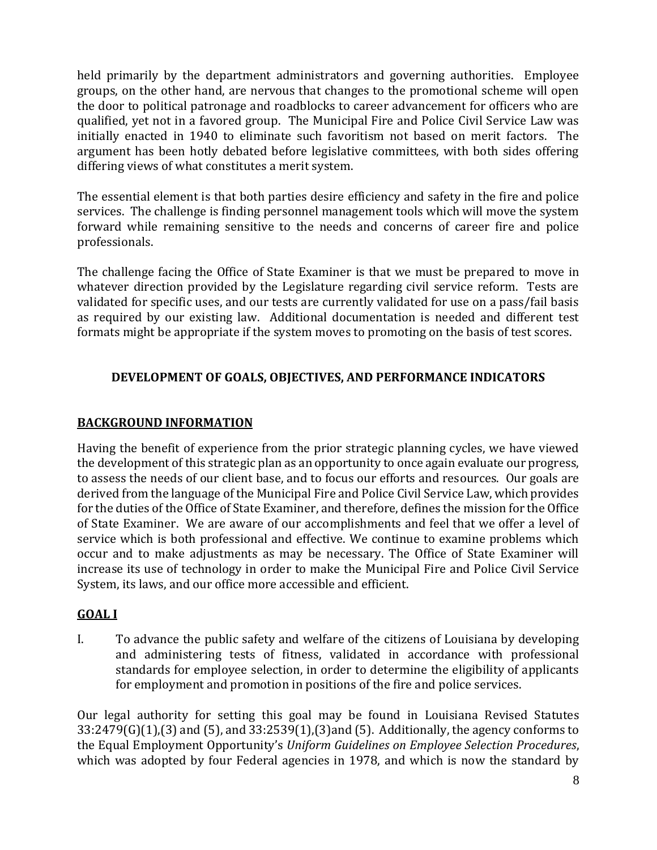held primarily by the department administrators and governing authorities. Employee groups, on the other hand, are nervous that changes to the promotional scheme will open the door to political patronage and roadblocks to career advancement for officers who are qualified, yet not in a favored group. The Municipal Fire and Police Civil Service Law was initially enacted in 1940 to eliminate such favoritism not based on merit factors. The argument has been hotly debated before legislative committees, with both sides offering differing views of what constitutes a merit system.

The essential element is that both parties desire efficiency and safety in the fire and police services. The challenge is finding personnel management tools which will move the system forward while remaining sensitive to the needs and concerns of career fire and police professionals.

The challenge facing the Office of State Examiner is that we must be prepared to move in whatever direction provided by the Legislature regarding civil service reform. Tests are validated for specific uses, and our tests are currently validated for use on a pass/fail basis as required by our existing law. Additional documentation is needed and different test formats might be appropriate if the system moves to promoting on the basis of test scores.

# **DEVELOPMENT OF GOALS, OBJECTIVES, AND PERFORMANCE INDICATORS**

# **BACKGROUND INFORMATION**

Having the benefit of experience from the prior strategic planning cycles, we have viewed the development of this strategic plan as an opportunity to once again evaluate our progress, to assess the needs of our client base, and to focus our efforts and resources. Our goals are derived from the language of the Municipal Fire and Police Civil Service Law, which provides for the duties of the Office of State Examiner, and therefore, defines the mission for the Office of State Examiner. We are aware of our accomplishments and feel that we offer a level of service which is both professional and effective. We continue to examine problems which occur and to make adjustments as may be necessary. The Office of State Examiner will increase its use of technology in order to make the Municipal Fire and Police Civil Service System, its laws, and our office more accessible and efficient.

# **GOAL I**

I. To advance the public safety and welfare of the citizens of Louisiana by developing and administering tests of fitness, validated in accordance with professional standards for employee selection, in order to determine the eligibility of applicants for employment and promotion in positions of the fire and police services.

Our legal authority for setting this goal may be found in Louisiana Revised Statutes 33:2479(G)(1),(3) and (5), and 33:2539(1),(3)and (5). Additionally, the agency conforms to the Equal Employment Opportunity's *Uniform Guidelines on Employee Selection Procedures*, which was adopted by four Federal agencies in 1978, and which is now the standard by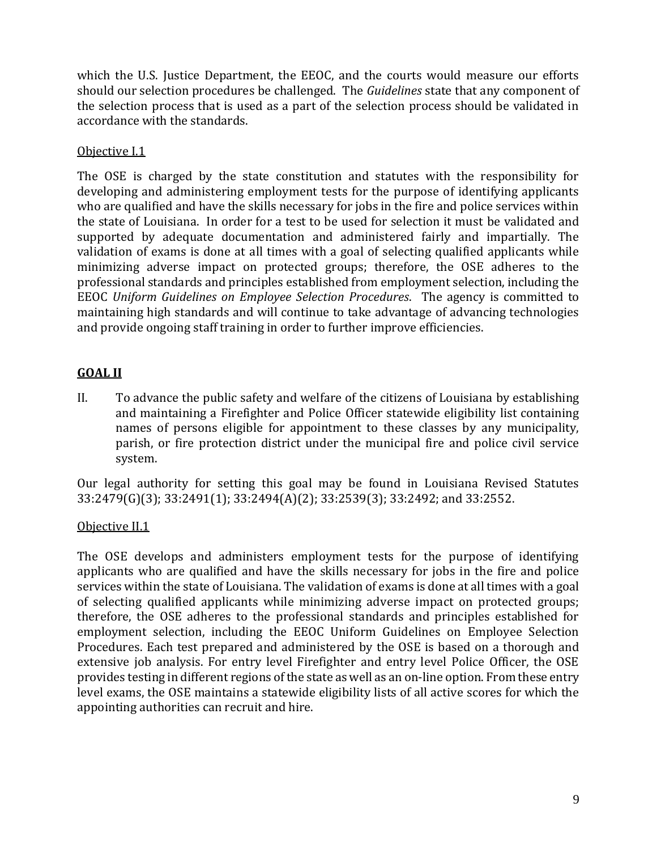which the U.S. Justice Department, the EEOC, and the courts would measure our efforts should our selection procedures be challenged. The *Guidelines* state that any component of the selection process that is used as a part of the selection process should be validated in accordance with the standards.

# Objective I.1

The OSE is charged by the state constitution and statutes with the responsibility for developing and administering employment tests for the purpose of identifying applicants who are qualified and have the skills necessary for jobs in the fire and police services within the state of Louisiana. In order for a test to be used for selection it must be validated and supported by adequate documentation and administered fairly and impartially. The validation of exams is done at all times with a goal of selecting qualified applicants while minimizing adverse impact on protected groups; therefore, the OSE adheres to the professional standards and principles established from employment selection, including the EEOC *Uniform Guidelines on Employee Selection Procedures*. The agency is committed to maintaining high standards and will continue to take advantage of advancing technologies and provide ongoing staff training in order to further improve efficiencies.

#### **GOAL II** I

II. To advance the public safety and welfare of the citizens of Louisiana by establishing and maintaining a Firefighter and Police Officer statewide eligibility list containing names of persons eligible for appointment to these classes by any municipality, parish, or fire protection district under the municipal fire and police civil service system.

Our legal authority for setting this goal may be found in Louisiana Revised Statutes 33:2479(G)(3); 33:2491(1); 33:2494(A)(2); 33:2539(3); 33:2492; and 33:2552.

# Objective II.1

The OSE develops and administers employment tests for the purpose of identifying applicants who are qualified and have the skills necessary for jobs in the fire and police services within the state of Louisiana. The validation of exams is done at all times with a goal of selecting qualified applicants while minimizing adverse impact on protected groups; therefore, the OSE adheres to the professional standards and principles established for employment selection, including the EEOC Uniform Guidelines on Employee Selection Procedures. Each test prepared and administered by the OSE is based on a thorough and extensive job analysis. For entry level Firefighter and entry level Police Officer, the OSE provides testing in different regions of the state as well as an on-line option. From these entry level exams, the OSE maintains a statewide eligibility lists of all active scores for which the appointing authorities can recruit and hire.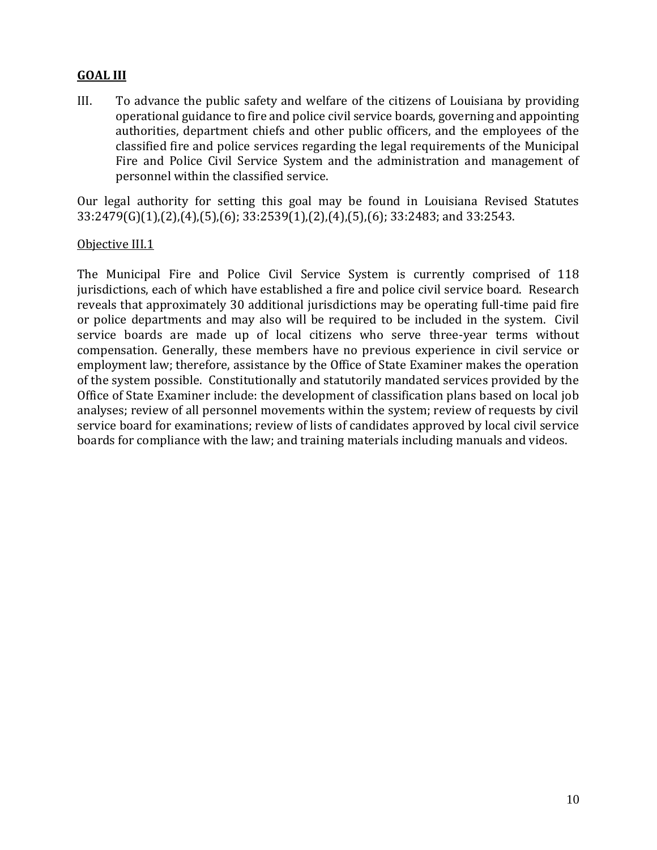#### **GOAL III** I

III. To advance the public safety and welfare of the citizens of Louisiana by providing operational guidance to fire and police civil service boards, governing and appointing authorities, department chiefs and other public officers, and the employees of the classified fire and police services regarding the legal requirements of the Municipal Fire and Police Civil Service System and the administration and management of personnel within the classified service.

Our legal authority for setting this goal may be found in Louisiana Revised Statutes 33:2479(G)(1),(2),(4),(5),(6); 33:2539(1),(2),(4),(5),(6); 33:2483; and 33:2543.

# Objective III.1

The Municipal Fire and Police Civil Service System is currently comprised of 118 jurisdictions, each of which have established a fire and police civil service board. Research reveals that approximately 30 additional jurisdictions may be operating full-time paid fire or police departments and may also will be required to be included in the system. Civil service boards are made up of local citizens who serve three-year terms without compensation. Generally, these members have no previous experience in civil service or employment law; therefore, assistance by the Office of State Examiner makes the operation of the system possible. Constitutionally and statutorily mandated services provided by the Office of State Examiner include: the development of classification plans based on local job analyses; review of all personnel movements within the system; review of requests by civil service board for examinations; review of lists of candidates approved by local civil service boards for compliance with the law; and training materials including manuals and videos.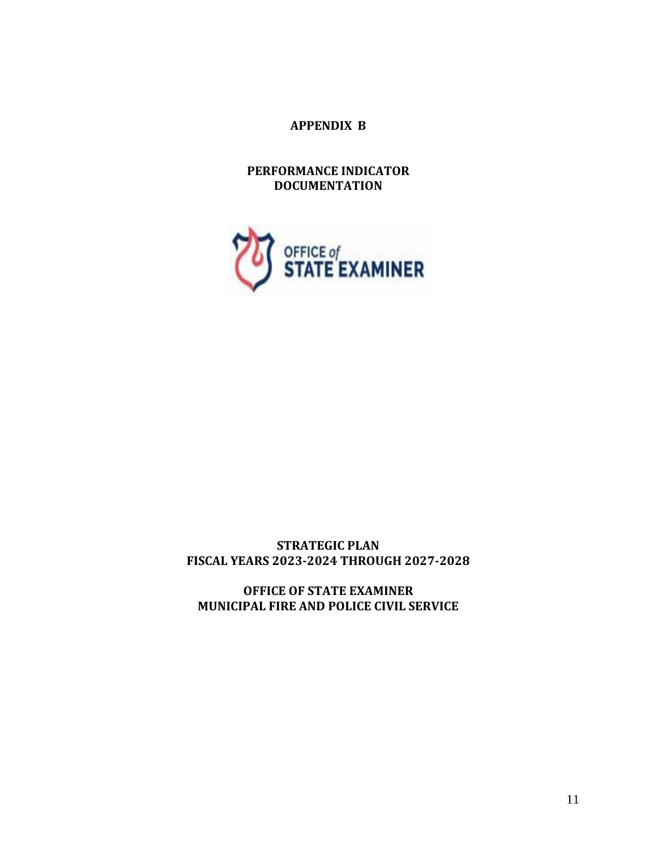**APPENDIX B**

**PERFORMANCE INDICATOR DOCUMENTATION**



# **STRATEGIC PLAN FISCAL YEARS 2023-2024 THROUGH 2027-2028**

**OFFICE OF STATE EXAMINER MUNICIPAL FIRE AND POLICE CIVIL SERVICE**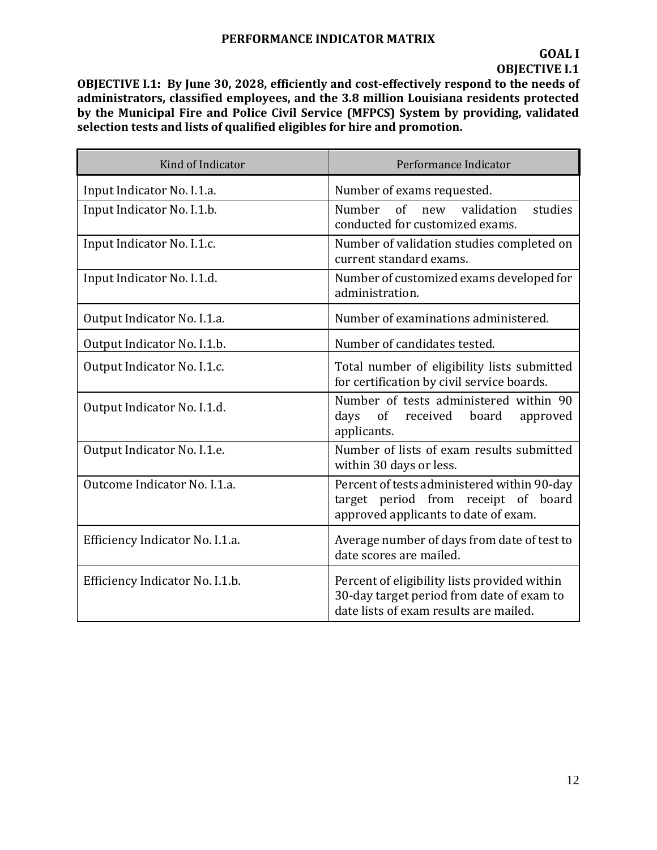**OBJECTIVE I.1: By June 30, 2028, efficiently and cost-effectively respond to the needs of administrators, classified employees, and the 3.8 million Louisiana residents protected by the Municipal Fire and Police Civil Service (MFPCS) System by providing, validated selection tests and lists of qualified eligibles for hire and promotion.**

| Kind of Indicator               | Performance Indicator                                                                                                               |
|---------------------------------|-------------------------------------------------------------------------------------------------------------------------------------|
| Input Indicator No. I.1.a.      | Number of exams requested.                                                                                                          |
| Input Indicator No. I.1.b.      | Number of new validation<br>studies<br>conducted for customized exams.                                                              |
| Input Indicator No. I.1.c.      | Number of validation studies completed on<br>current standard exams.                                                                |
| Input Indicator No. I.1.d.      | Number of customized exams developed for<br>administration.                                                                         |
| Output Indicator No. I.1.a.     | Number of examinations administered.                                                                                                |
| Output Indicator No. I.1.b.     | Number of candidates tested.                                                                                                        |
| Output Indicator No. I.1.c.     | Total number of eligibility lists submitted<br>for certification by civil service boards.                                           |
| Output Indicator No. I.1.d.     | Number of tests administered within 90<br>days<br>of<br>received<br>board<br>approved<br>applicants.                                |
| Output Indicator No. I.1.e.     | Number of lists of exam results submitted<br>within 30 days or less.                                                                |
| Outcome Indicator No. I.1.a.    | Percent of tests administered within 90-day<br>target period from receipt of board<br>approved applicants to date of exam.          |
| Efficiency Indicator No. I.1.a. | Average number of days from date of test to<br>date scores are mailed.                                                              |
| Efficiency Indicator No. I.1.b. | Percent of eligibility lists provided within<br>30-day target period from date of exam to<br>date lists of exam results are mailed. |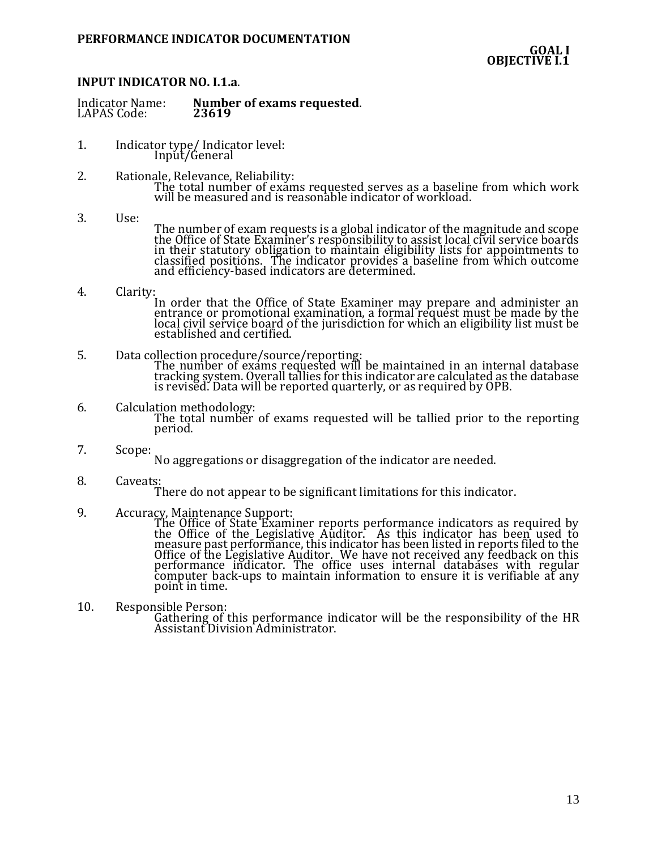### **INPUT INDICATOR NO. I.1.a**.

- 1. Indicator type/ Indicator level: Input/General
- 2. Rationale, Relevance, Reliability: The total number of exams requested serves as a baseline from which work will be measured and is reasonable indicator of workload.
- 3. Use:
	- The number of exam requests is a global indicator of the magnitude and scope the Office of State Examiner's responsibility to assist local civil service boards in their statutory obligation to maintain eligibility lists for appointments to classified positions. The indicator provides a baseline from which outcome and efficiency-based indicators are determined.
- 4. Clarity:

In order that the Office of State Examiner may prepare and administer an entrance or promotional examination, a formal request must be made by the local civil service board of the jurisdiction for which an eligibility list must be established and certified.

- 5. Data collection procedure/source/reporting: The number of exams requested will be maintained in an internal database tracking system. Overall tallies for this indicator are calculated as the database is revised. Data will be reported quarterly, or as required by OPB.
- 6. Calculation methodology: The total number of exams requested will be tallied prior to the reporting period.
- 7. Scope:

No aggregations or disaggregation of the indicator are needed.

8. Caveats:

There do not appear to be significant limitations for this indicator.

9. Accuracy, Maintenance Support:

The Office of State Examiner reports performance indicators as required by the Office of the Legislative Auditor. As this indicator has been used to measure past performance, this indicator has been listed in reports filed to the Office of the Legislative Auditor. We have not received any feedback on this performance indicator. The office uses internal databases with regular computer back-ups to maintain information to ensure it is verifiable at any point in time.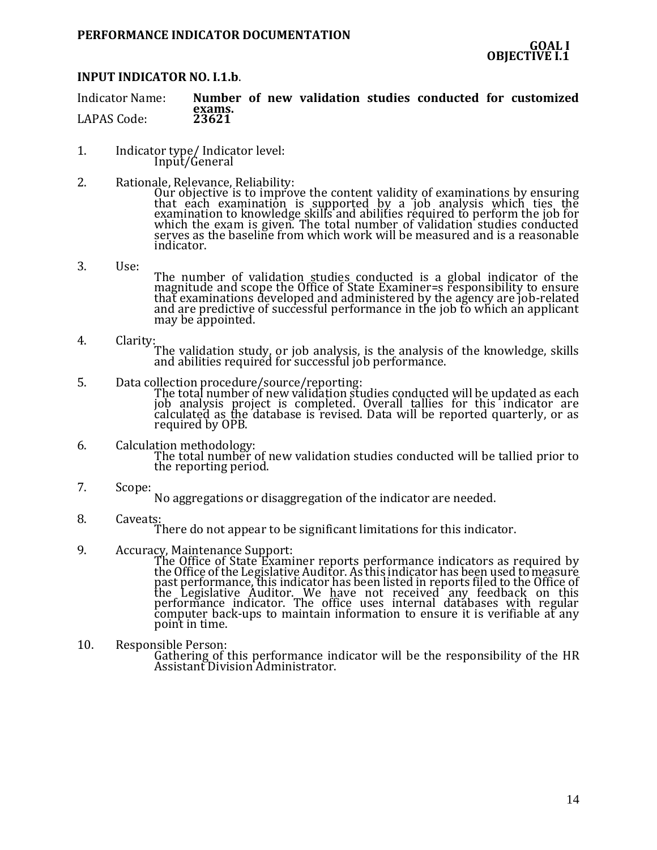# **INPUT INDICATOR NO. I.1.b**.

Indicator Name: **Number of new validation studies conducted for customized exams.** LAPAS Code:

- 1. Indicator type/ Indicator level: Input/General
- 2. Rationale, Relevance, Reliability:

Our objective is to improve the content validity of examinations by ensuring that each examination is supported by a job analysis which ties the examination to knowledge skills and abilities required to perform the job for which the exam is given. The total number of validation studies conducted serves as the baseline from which work will be measured and is a reasonable indicator.

- 3. Use: The number of validation studies conducted is a global indicator of the magnitude and scope the Office of State Examiner=s responsibility to ensure that examinations developed and administered by the agency are job-related and are predictive of successful performance in the job to which an applicant may be appointed.
- 4. Clarity: The validation study, or job analysis, is the analysis of the knowledge, skills and abilities required for successful job performance.
- 5. Data collection procedure/source/reporting: The total number of new validation studies conducted will be updated as each job analysis project is completed. Overall tallies for this indicator are calculated as the database is revised. Data will be reported quarterly, or as required by OPB.
- 6. Calculation methodology: The total number of new validation studies conducted will be tallied prior to the reporting period.
- 7. Scope: No aggregations or disaggregation of the indicator are needed.
- 8. Caveats: There do not appear to be significant limitations for this indicator.
- 9. Accuracy, Maintenance Support:

The Office of State Examiner reports performance indicators as required by the Office of the Legislative Auditor. As this indicator has been used to measure past performance, this indicator has been listed in reports filed to the Office of the Legislative Auditor. We have not received any feedback on this performance indicator. The office uses internal databases with regular computer back-ups to maintain information to ensure it is verifiable at any point in time.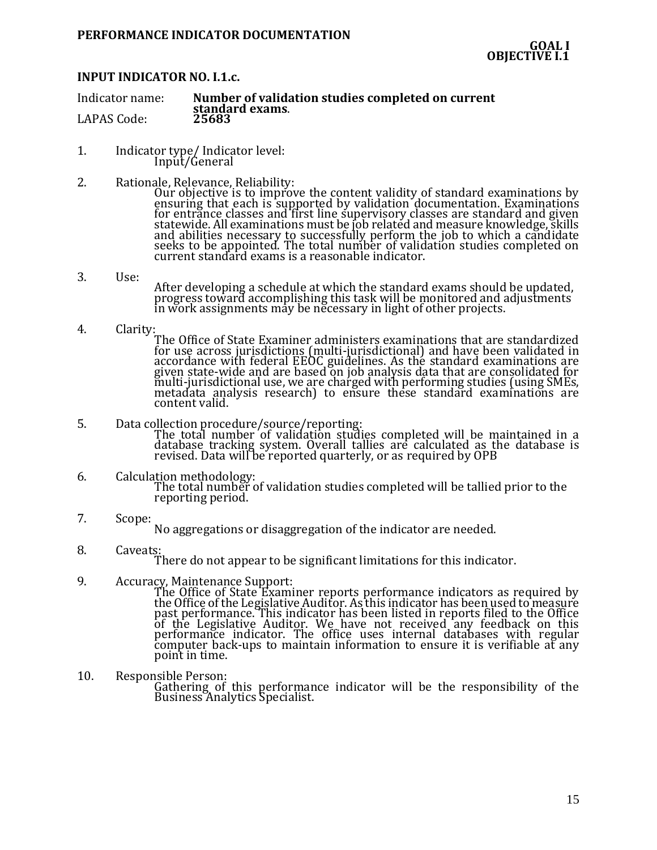# **INPUT INDICATOR NO. I.1.c.**

Indicator name: **Number of validation studies completed on current standard exams**. LAPAS Code:

- 1. Indicator type/ Indicator level: Input/General
- 2. Rationale, Relevance, Reliability:
	- Our objective is to improve the content validity of standard examinations by ensuring that each is supported by validation documentation. Examinations for entrance classes and first line supervisory classes are standard and given statewide. All examinations must be job related and measure knowledge, skills and abilities necessary to successfully perform the job to which a candidate seeks to be appointed. The total number of validation studies completed on current standard exams is a reasonable indicator.
- 3. Use: After developing a schedule at which the standard exams should be updated, progress toward accomplishing this task will be monitored and adjustments in work assignments may be necessary in light of other projects.
- 4. Clarity:

The Office of State Examiner administers examinations that are standardized for use across jurisdictions (multi-jurisdictional) and have been validated in accordance with federal EEOC guidelines. As the standard examinations are given state-wide and are based on job analysis data that are consolidated for multi-jurisdictional use, we are charged with performing studies (using SMEs, metadata analysis research) to ensure these standard examinations are content valid.

- 5. Data collection procedure/source/reporting: The total number of validation studies completed will be maintained in a database tracking system. Overall tallies are calculated as the database is revised. Data will be reported quarterly, or as required by OPB
- 6. Calculation methodology: The total number of validation studies completed will be tallied prior to the reporting period.
- 7. Scope: No aggregations or disaggregation of the indicator are needed.
- 8. Caveats: There do not appear to be significant limitations for this indicator.
- 9. Accuracy, Maintenance Support:

The Office of State Examiner reports performance indicators as required by the Office of the Legislative Auditor. As this indicator has been used to measure past performance. This indicator has been listed in reports filed to the Office of the Legislative Auditor. We have not received any feedback on this performance indicator. The office uses internal databases with regular computer back-ups to maintain information to ensure it is verifiable at any point in time.

10. Responsible Person:

Gathering of this performance indicator will be the responsibility of the Business Analytics Specialist.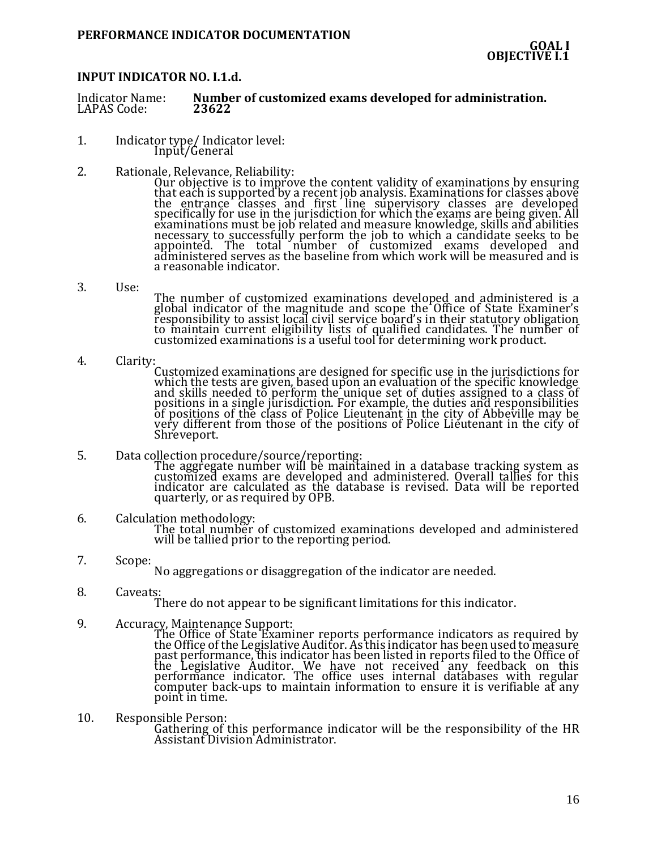### **INPUT INDICATOR NO. I.1.d.**

Indicator Name: **Number of customized exams developed for administration.** LAPAS Code:

- 1. Indicator type/ Indicator level: Input/General
- 2. Rationale, Relevance, Reliability:

Our objective is to improve the content validity of examinations by ensuring that each is supported by a recent job analysis. Examinations for classes above the entrance classes and first line supervisory classes are developed specifically for use in the jurisdiction for which the exams are being given. All examinations must be job related and measure knowledge, skills and abilities necessary to successfully perform the job to which a candidate seeks to be appointed. The total number of customized exams developed and administered serves as the baseline from which work will be measured and is a reasonable indicator.

3. Use:

The number of customized examinations developed and administered is a global indicator of the magnitude and scope the Office of State Examiner's responsibility to assist local civil service board's in their statutory obligation to maintain current eligibility lists of qualified candidates. The number of customized examinations is a useful tool for determining work product.

- 4. Clarity: Customized examinations are designed for specific use in the jurisdictions for which the tests are given, based upon an evaluation of the specific knowledge and skills needed to perform the unique set of duties assigned to a class of positions in a single jurisdiction. For example, the duties and responsibilities of positions of the class of Police Lieutenant in the city of Abbeville may be very different from those of the positions of Police Lieutenant in the city of Shreveport.
- 5. Data collection procedure/source/reporting: The aggregate number will be maintained in a database tracking system as customized exams are developed and administered. Overall tallies for this indicator are calculated as the database is revised. Data will be reported quarterly, or as required by OPB.
- 6. Calculation methodology: The total number of customized examinations developed and administered will be tallied prior to the reporting period.
- 7. Scope: No aggregations or disaggregation of the indicator are needed.
- 8. Caveats:

There do not appear to be significant limitations for this indicator.

9. Accuracy, Maintenance Support:

The Office of State Examiner reports performance indicators as required by the Office of the Legislative Auditor. As this indicator has been used to measure past performance, this indicator has been listed in reports filed to the Office of the Legislative Auditor. We have not received any feedback on this performance indicator. The office uses internal databases with regular computer back-ups to maintain information to ensure it is verifiable at any point in time.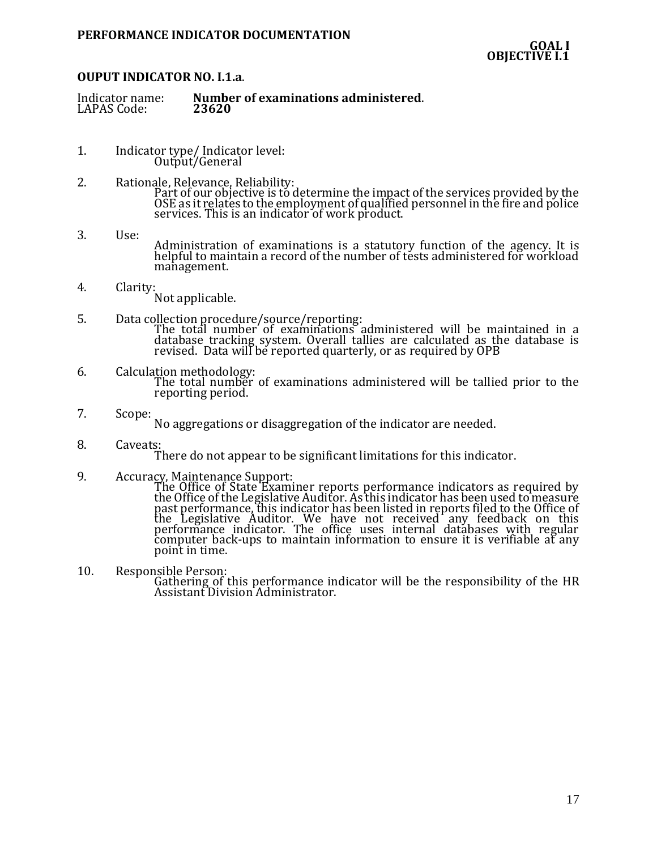### **OUPUT INDICATOR NO. I.1.a**.

| Indicator name:<br>LAPAS Code:<br>23620 | Number of examinations administered. |
|-----------------------------------------|--------------------------------------|
|-----------------------------------------|--------------------------------------|

- 1. Indicator type/ Indicator level: Output/General
- 2. Rationale, Relevance, Reliability: Part of our objective is to determine the impact of the services provided by the OSE as it relates to the employment of qualified personnel in the fire and police services. This is an indicator of work product.
- 3. Use: Administration of examinations is a statutory function of the agency. It is helpful to maintain a record of the number of tests administered for workload management.
- 4. Clarity: Not applicable.
- 5. Data collection procedure/source/reporting: The total number of examinations administered will be maintained in a database tracking system. Overall tallies are calculated as the database is revised. Data will be reported quarterly, or as required by OPB
- 6. Calculation methodology: The total number of examinations administered will be tallied prior to the reporting period.
- 7. Scope: No aggregations or disaggregation of the indicator are needed.
- 8. Caveats: There do not appear to be significant limitations for this indicator.
- 9. Accuracy, Maintenance Support:
	- The Office of State Examiner reports performance indicators as required by the Office of the Legislative Auditor. As this indicator has been used to measure past performance, this indicator has been listed in reports filed to the Office of the Legislative Auditor. We have not received any feedback on this performance indicator. The office uses internal databases with regular computer back-ups to maintain information to ensure it is verifiable at any point in time.
- 10. Responsible Person: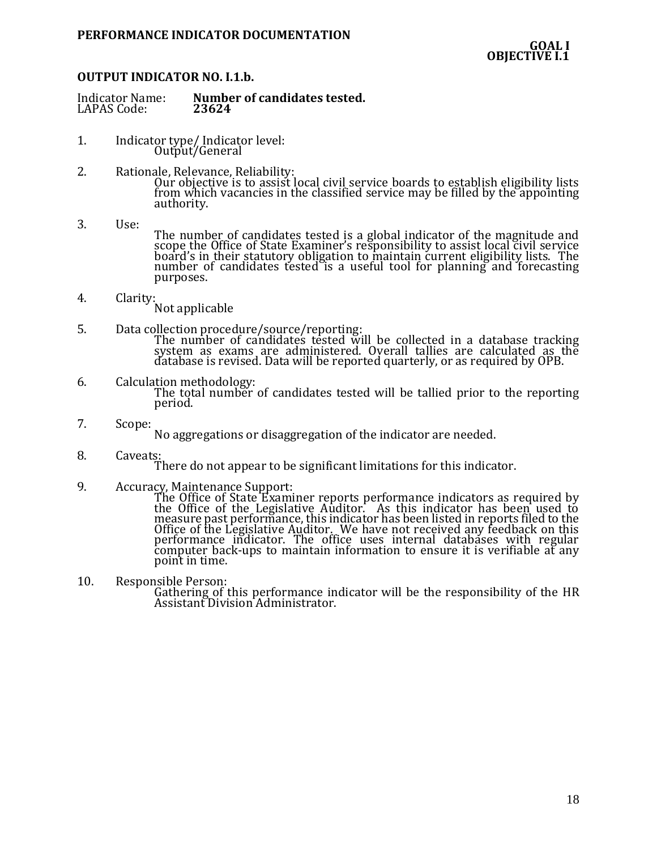### **OUTPUT INDICATOR NO. I.1.b.**

| Indicator Name: | Number of candidates tested. |
|-----------------|------------------------------|
| LAPAS Code:     | 23624                        |

- 1. Indicator type/ Indicator level: Output/General
- 2. Rationale, Relevance, Reliability: Our objective is to assist local civil service boards to establish eligibility lists from which vacancies in the classified service may be filled by the appointing authority.
- 3. Use: The number of candidates tested is a global indicator of the magnitude and scope the Office of State Examiner's responsibility to assist local civil service board's in their statutory obligation to maintain current eligibility lists. The number of candidates tested is a useful tool for planning and forecasting purposes.
- 4. Clarity:

Not applicable

- 5. Data collection procedure/source/reporting: The number of candidates tested will be collected in a database tracking system as exams are administered. Overall tallies are calculated as the database is revised. Data will be reported quarterly, or as required by OPB.
- 6. Calculation methodology: The total number of candidates tested will be tallied prior to the reporting period.
- 7. Scope:

No aggregations or disaggregation of the indicator are needed.

8. Caveats:

There do not appear to be significant limitations for this indicator.

9. Accuracy, Maintenance Support:

The Office of State Examiner reports performance indicators as required by the Office of the Legislative Auditor. As this indicator has been used to measure past performance, this indicator has been listed in reports filed to the Office of the Legislative Auditor. We have not received any feedback on this performance indicator. The office uses internal databases with regular computer back-ups to maintain information to ensure it is verifiable at any point in time.

10. Responsible Person: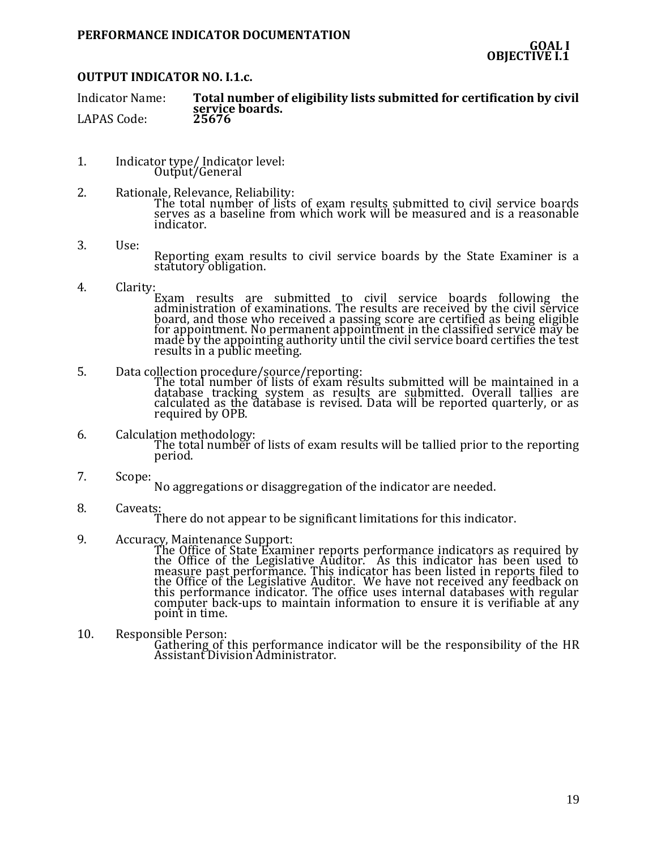### **OUTPUT INDICATOR NO. I.1.c.**

Indicator Name: **Total number of eligibility lists submitted for certification by civil**  service boards.<br>25676 LAPAS Code:

- 1. Indicator type/ Indicator level: Output/General
- 2. Rationale, Relevance, Reliability: The total number of lists of exam results submitted to civil service boards serves as a baseline from which work will be measured and is a reasonable indicator.
- 3. Use:
	- Reporting exam results to civil service boards by the State Examiner is a statutory obligation.
- 4. Clarity:
	- Exam results are submitted to civil service boards following the administration of examinations. The results are received by the civil service board, and those who received a passing score are certified as being eligible for appointment. No permanent appointment in the classified service may be made by the appointing authority until the civil service board certifies the test results in a public meeting.
- 5. Data collection procedure/source/reporting:<br>The total number of lists of exam results submitted will be maintained in a

The total number of lists of exam results submitted will be maintained in a database tracking system as results are submitted. Overall tallies are calculated as the database is revised. Data will be reported quarterly, or as required by OPB.

- 6. Calculation methodology: The total number of lists of exam results will be tallied prior to the reporting period.
- 7. Scope:

No aggregations or disaggregation of the indicator are needed.

8. Caveats:

There do not appear to be significant limitations for this indicator.

9. Accuracy, Maintenance Support:

The Office of State Examiner reports performance indicators as required by the Office of the Legislative Auditor. As this indicator has been used to measure past performance. This indicator has been listed in reports filed to the Office of the Legislative Auditor. We have not received any feedback on this performance indicator. The office uses internal databases with regular computer back-ups to maintain information to ensure it is verifiable at any point in time.

10. Responsible Person: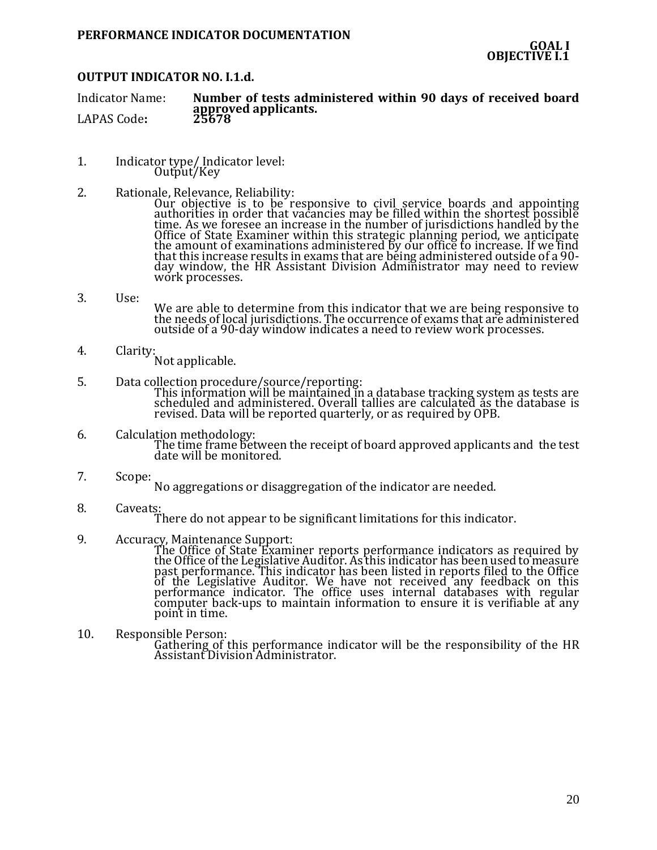### **OUTPUT INDICATOR NO. I.1.d.**

Indicator Name: **Number of tests administered within 90 days of received board approved applicants.** LAPAS Code:

- 1. Indicator type/ Indicator level: Output/Key
- 2. Rationale, Relevance, Reliability:
	- Our objective is to be responsive to civil service boards and appointing authorities in order that vacancies may be filled within the shortest possible time. As we foresee an increase in the number of jurisdictions handled by the Office of State Examiner within this strategic planning period, we anticipate the amount of examinations administered by our office to increase. If we find that this increase results in exams that are being administered outside of a 90 day window, the HR Assistant Division Administrator may need to review work processes.
- 3. Use:

We are able to determine from this indicator that we are being responsive to the needs of local jurisdictions. The occurrence of exams that are administered outside of a 90-day window indicates a need to review work processes.

- 4. Clarity: Not applicable.
- 5. Data collection procedure/source/reporting:

This information will be maintained in a database tracking system as tests are scheduled and administered. Overall tallies are calculated as the database is revised. Data will be reported quarterly, or as required by OPB.

- 6. Calculation methodology: The time frame between the receipt of board approved applicants and the test date will be monitored.
- 7. Scope:
	- No aggregations or disaggregation of the indicator are needed.
- 8. Caveats:

There do not appear to be significant limitations for this indicator.

9. Accuracy, Maintenance Support:

The Office of State Examiner reports performance indicators as required by the Office of the Legislative Auditor. As this indicator has been used to measure past performance. This indicator has been listed in reports filed to the Office of the Legislative Auditor. We have not received any feedback on this performance indicator. The office uses internal databases with regular computer back-ups to maintain information to ensure it is verifiable at any point in time.

10. Responsible Person: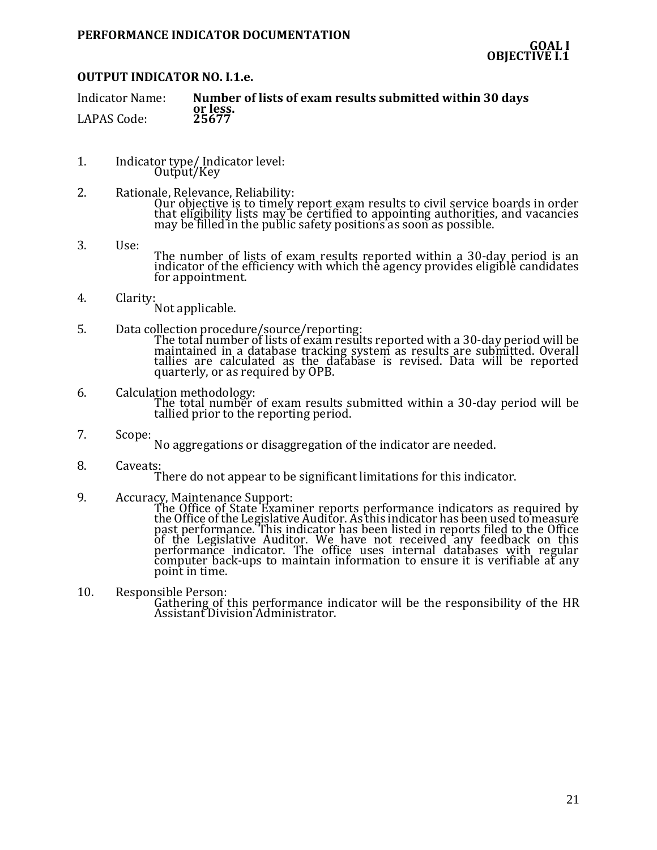# **OUTPUT INDICATOR NO. I.1.e.**

| <b>Indicator Name:</b> | Number of lists of exam results submitted within 30 days |
|------------------------|----------------------------------------------------------|
|                        | or less.                                                 |
| LAPAS Code:            | 25677                                                    |

- 1. Indicator type/ Indicator level: Output/Key
- 2. Rationale, Relevance, Reliability: Our objective is to timely report exam results to civil service boards in order that eligibility lists may be certified to appointing authorities, and vacancies may be filled in the public safety positions as soon as possible.
- 3. Use:

The number of lists of exam results reported within a 30-day period is an indicator of the efficiency with which the agency provides eligible candidates for appointment.

4. Clarity:

Not applicable.

- 5. Data collection procedure/source/reporting: The total number of lists of exam results reported with a 30-day period will be maintained in a database tracking system as results are submitted. Overall tallies are calculated as the database is revised. Data will be reported quarterly, or as required by OPB.
- 6. Calculation methodology: The total number of exam results submitted within a 30-day period will be tallied prior to the reporting period.
- 7. Scope: No aggregations or disaggregation of the indicator are needed.
- 8. Caveats:

There do not appear to be significant limitations for this indicator.

9. Accuracy, Maintenance Support:

The Office of State Examiner reports performance indicators as required by the Office of the Legislative Auditor. As this indicator has been used to measure past performance. This indicator has been listed in reports filed to the Office of the Legislative Auditor. We have not received any feedback on this performance indicator. The office uses internal databases with regular computer back-ups to maintain information to ensure it is verifiable at any point in time.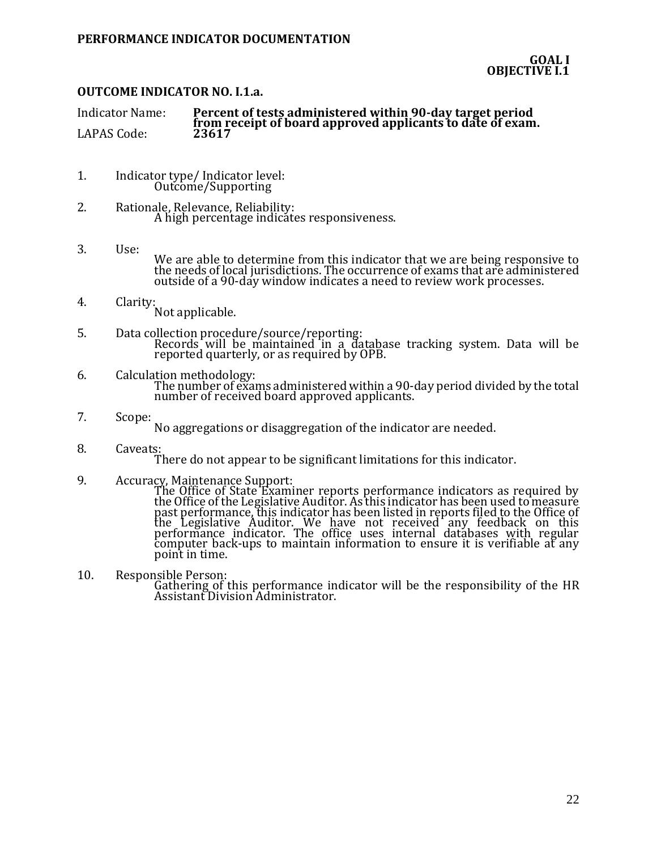# **OUTCOME INDICATOR NO. I.1.a.**

| Indicator Name: | Percent of tests administered within 90-day target period<br>from receipt of board approved applicants to date of exam. |
|-----------------|-------------------------------------------------------------------------------------------------------------------------|
| LAPAS Code:     | 23617                                                                                                                   |

- 1. Indicator type/ Indicator level: Outcome/Supporting
- 2. Rationale, Relevance, Reliability: A high percentage indicates responsiveness.
- 3. Use: We are able to determine from this indicator that we are being responsive to the needs of local jurisdictions. The occurrence of exams that are administered outside of a 90-day window indicates a need to review work processes.
- 4. Clarity: Not applicable.
- 5. Data collection procedure/source/reporting: Records will be maintained in a database tracking system. Data will be reported quarterly, or as required by OPB.
- 6. Calculation methodology: The number of exams administered within a 90-day period divided by the total number of received board approved applicants.
- 7. Scope: No aggregations or disaggregation of the indicator are needed.
- 8. Caveats: There do not appear to be significant limitations for this indicator.
	-
- 9. Accuracy, Maintenance Support:

The Office of State Examiner reports performance indicators as required by the Office of the Legislative Auditor. As this indicator has been used to measure past performance, this indicator has been listed in reports filed to the Office of the Legislative Auditor. We have not received any feedback on this performance indicator. The office uses internal databases with regular computer back-ups to maintain information to ensure it is verifiable at any point in time.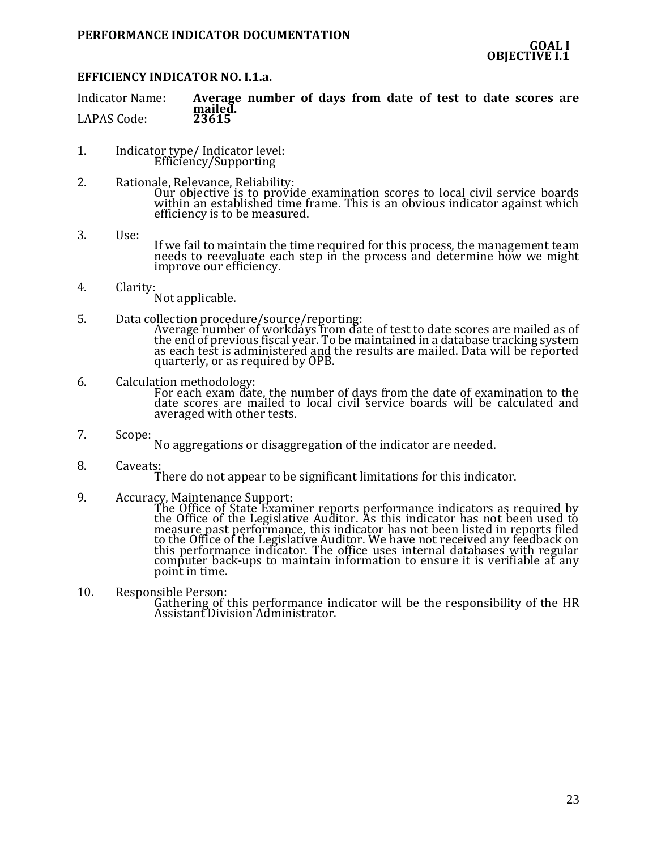### **EFFICIENCY INDICATOR NO. I.1.a.**

Indicator Name: **Average number of days from date of test to date scores are**  mailed.<br>23615 LAPAS Code:

- 1. Indicator type/ Indicator level: Efficiency/Supporting
- 2. Rationale, Relevance, Reliability: Our objective is to provide examination scores to local civil service boards within an established time frame. This is an obvious indicator against which efficiency is to be measured.
- 3. Use: If we fail to maintain the time required for this process, the management team needs to reevaluate each step in the process and determine how we might improve our efficiency.
- 4. Clarity:

Not applicable.

- 5. Data collection procedure/source/reporting: Average number of workdays from date of test to date scores are mailed as of the end of previous fiscal year. To be maintained in a database tracking system as each test is administered and the results are mailed. Data will be reported quarterly, or as required by OPB.
- 6. Calculation methodology: For each exam date, the number of days from the date of examination to the date scores are mailed to local civil service boards will be calculated and averaged with other tests.
- 7. Scope:

No aggregations or disaggregation of the indicator are needed.

8. Caveats:

There do not appear to be significant limitations for this indicator.

9. Accuracy, Maintenance Support:

The Office of State Examiner reports performance indicators as required by the Office of the Legislative Auditor. As this indicator has not been used to measure past performance, this indicator has not been listed in reports filed to the Office of the Legislative Auditor. We have not received any feedback on this performance indicator. The office uses internal databases with regular computer back-ups to maintain information to ensure it is verifiable at any point in time.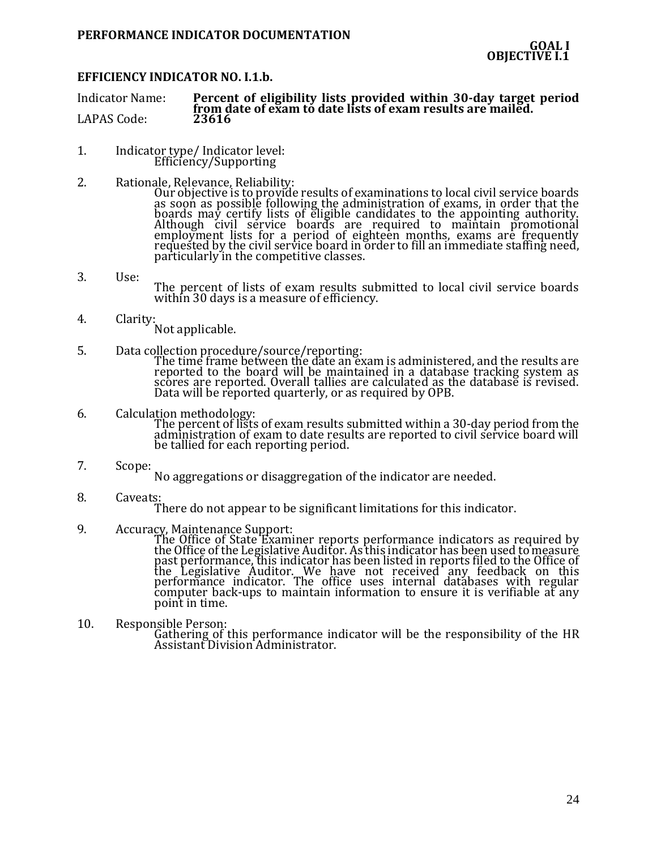### **EFFICIENCY INDICATOR NO. I.1.b.**

Indicator Name: **Percent of eligibility lists provided within 30-day target period from date of exam to date lists of exam results are mailed.**<br>23616 LAPAS Code:

- 1. Indicator type/ Indicator level: Efficiency/Supporting
- 2. Rationale, Relevance, Reliability:

Our objective is to provide results of examinations to local civil service boards as soon as possible following the administration of exams, in order that the boards may certify lists of eligible candidates to the appointing authority. Although civil service boards are required to maintain promotional employment lists for a period of eighteen months, exams are frequently requested by the civil service board in order to fill an immediate staffing need, particularly in the competitive classes.

- 3. Use: The percent of lists of exam results submitted to local civil service boards within 30 days is a measure of efficiency.
- 4. Clarity:
	- Not applicable.
- 5. Data collection procedure/source/reporting: The time frame between the date an exam is administered, and the results are reported to the board will be maintained in a database tracking system as scores are reported. Overall tallies are calculated as the database is revised.

Data will be reported quarterly, or as required by OPB.

- 6. Calculation methodology: The percent of lists of exam results submitted within a 30-day period from the administration of exam to date results are reported to civil service board will be tallied for each reporting period.
- 7. Scope:
	- No aggregations or disaggregation of the indicator are needed.
- 8. Caveats: There do not appear to be significant limitations for this indicator.
- 9. Accuracy, Maintenance Support:

The Office of State Examiner reports performance indicators as required by the Office of the Legislative Auditor. As this indicator has been used to measure past performance, this indicator has been listed in reports filed to the Office of the Legislative Auditor. We have not received any feedback on this performance indicator. The office uses internal databases with regular computer back-ups to maintain information to ensure it is verifiable at any point in time.

10. Responsible Person: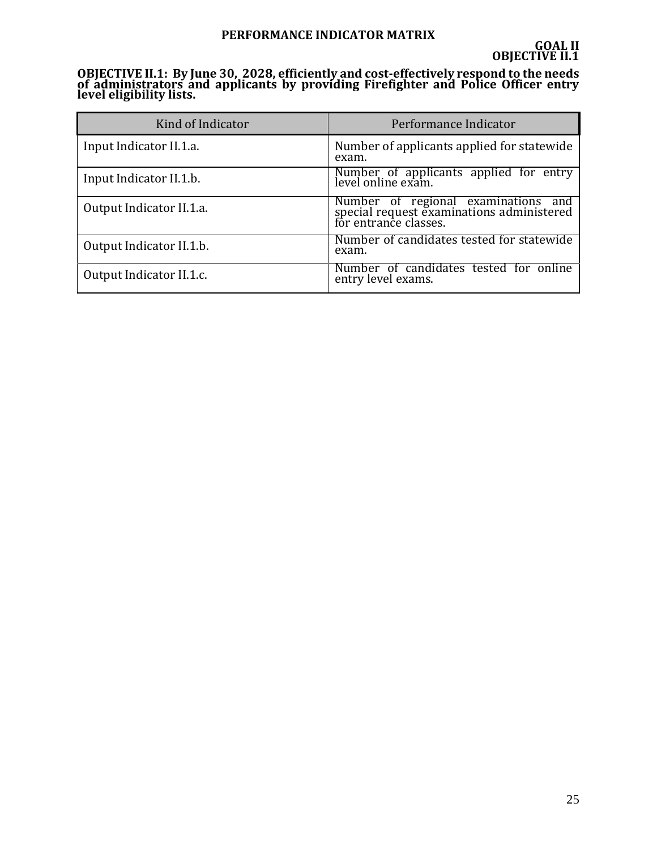# **PERFORMANCE INDICATOR MATRIX**

**OBJECTIVE II.1: By June 30, 2028, efficiently and cost-effectively respond to the needs of administrators and applicants by providing Firefighter and Police Officer entry level eligibility lists.**

| Kind of Indicator        | Performance Indicator                                                                                     |
|--------------------------|-----------------------------------------------------------------------------------------------------------|
| Input Indicator II.1.a.  | Number of applicants applied for statewide<br>exam.                                                       |
| Input Indicator II.1.b.  | Number of applicants applied for entry<br>level online exam.                                              |
| Output Indicator II.1.a. | Number of regional examinations and<br>special request examinations administered<br>for entrance classes. |
| Output Indicator II.1.b. | Number of candidates tested for statewide<br>exam.                                                        |
| Output Indicator II.1.c. | Number of candidates tested for online<br>entry level exams.                                              |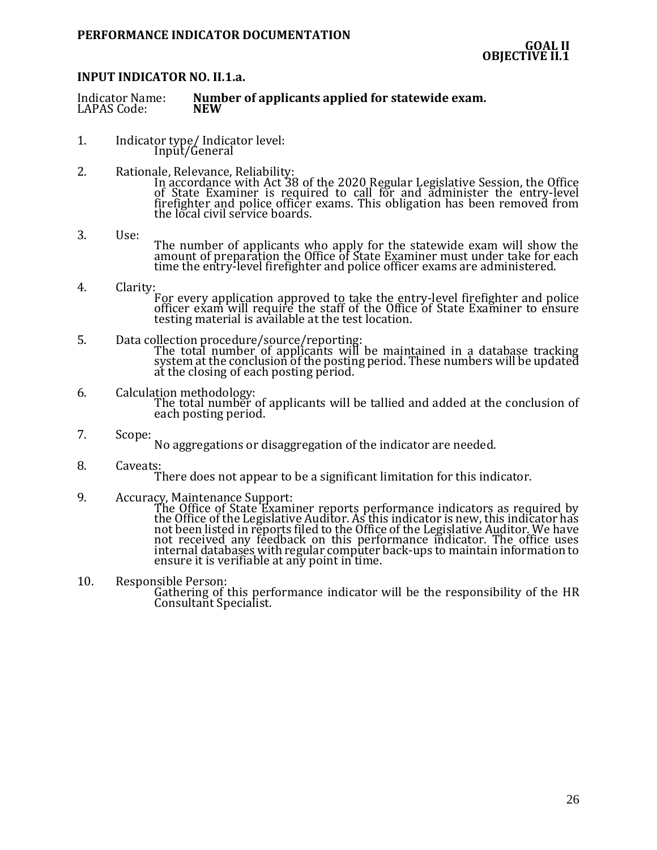### **INPUT INDICATOR NO. II.1.a.**

| <b>Indicator Name:</b> | Number of applicants applied for statewide exam. |
|------------------------|--------------------------------------------------|
| LAPAS Code:            | <b>NEW</b>                                       |

- 1. Indicator type/ Indicator level: Input/General
- 2. Rationale, Relevance, Reliability: In accordance with Act 38 of the 2020 Regular Legislative Session, the Office of State Examiner is required to call for and administer the entry-level firefighter and police officer exams. This obligation has been removed from the local civil service boards.
- 3. Use: The number of applicants who apply for the statewide exam will show the amount of preparation the Office of State Examiner must under take for each time the entry-level firefighter and police officer exams are administered.
- 4. Clarity: For every application approved to take the entry-level firefighter and police officer exam will require the staff of the Office of State Examiner to ensure testing material is available at the test location.
- 5. Data collection procedure/source/reporting: The total number of applicants will be maintained in a database tracking system at the conclusion of the posting period. These numbers will be updated at the closing of each posting period.
- 6. Calculation methodology: The total number of applicants will be tallied and added at the conclusion of each posting period.
- 7. Scope: No aggregations or disaggregation of the indicator are needed.
- 8. Caveats:
	- There does not appear to be a significant limitation for this indicator.
- 9. Accuracy, Maintenance Support:

The Office of State Examiner reports performance indicators as required by the Office of the Legislative Auditor. As this indicator is new, this indicator has not been listed in reports filed to the Office of the Legislative Auditor. We have not received any feedback on this performance indicator. The office uses internal databases with regular computer back-ups to maintain information to ensure it is verifiable at any point in time.

10. Responsible Person:

Gathering of this performance indicator will be the responsibility of the HR Consultant Specialist.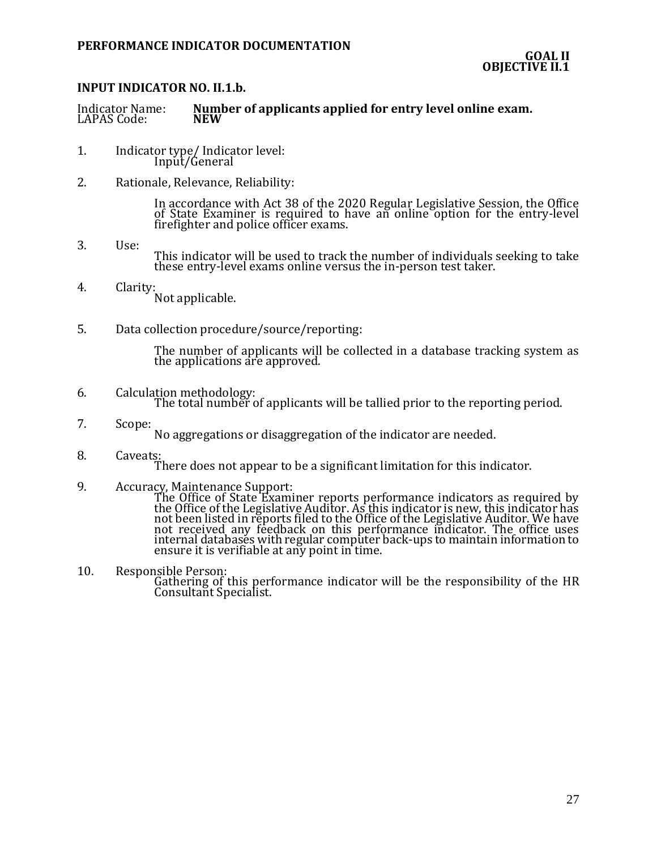# **INPUT INDICATOR NO. II.1.b.**

# Number of applicants applied for entry level online exam.<br>NEW Indicator Name:<br>LAPAS Code:

- 1. Indicator type/ Indicator level: Input/General
- 2. Rationale, Relevance, Reliability:

In accordance with Act 38 of the 2020 Regular Legislative Session, the Office of State Examiner is required to have an online option for the entry-level firefighter and police officer exams.

- 3. Use: This indicator will be used to track the number of individuals seeking to take these entry-level exams online versus the in-person test taker.
- 4. Clarity: Not applicable.
- 5. Data collection procedure/source/reporting:

The number of applicants will be collected in a database tracking system as the applications are approved.

- 6. Calculation methodology: The total number of applicants will be tallied prior to the reporting period.
- 7. Scope:

No aggregations or disaggregation of the indicator are needed.

- 8. Caveats: There does not appear to be a significant limitation for this indicator.
- 9. Accuracy, Maintenance Support: The Office of State Examiner reports performance indicators as required by the Office of the Legislative Auditor. As this indicator is new, this indicator has not been listed in reports filed to the Office of the Legislative Auditor. We have not received any feedback on this performance indicator. The office uses internal databases with regular computer back-ups to maintain information to ensure it is verifiable at any point in time.
- 10. Responsible Person: Gathering of this performance indicator will be the responsibility of the HR Consultant Specialist.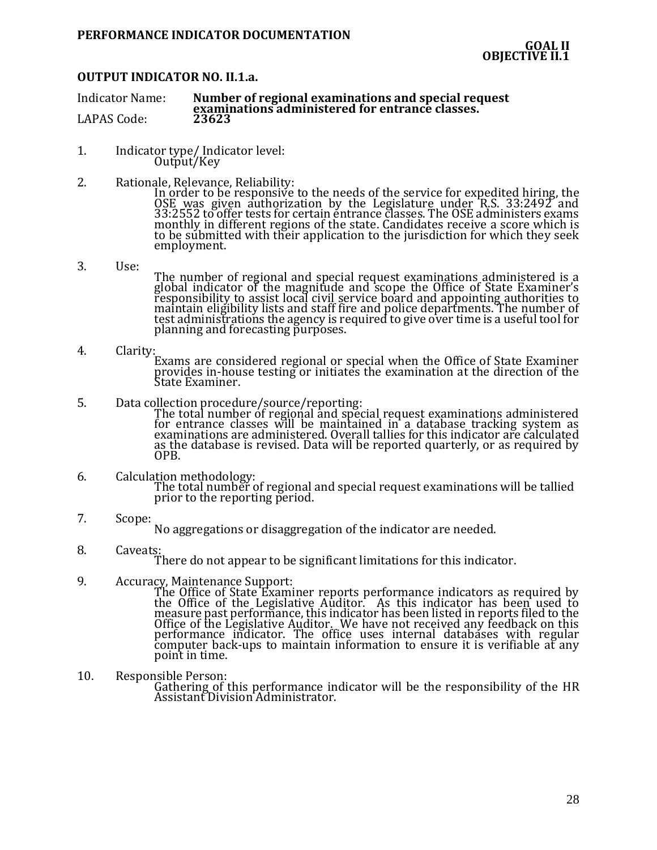### **OUTPUT INDICATOR NO. II.1.a.**

Indicator Name: **Number of regional examinations and special request examinations administered for entrance classes.** LAPAS Code:

- 1. Indicator type/ Indicator level: Output/Key
- 2. Rationale, Relevance, Reliability:

In order to be responsive to the needs of the service for expedited hiring, the OSE was given authorization by the Legislature under R.S. 33:2492 and 33:2552 to offer tests for certain entrance classes. The OSE administers exams monthly in different regions of the state. Candidates receive a score which is to be submitted with their application to the jurisdiction for which they seek employment.

3. Use:

The number of regional and special request examinations administered is a global indicator of the magnitude and scope the Office of State Examiner's responsibility to assist local civil service board and appointing authorities to maintain eligibility lists and staff fire and police departments. The number of test administrations the agency is required to give over time is a useful tool for planning and forecasting purposes.

- 4. Clarity: Exams are considered regional or special when the Office of State Examiner provides in-house testing or initiates the examination at the direction of the State Examiner.
- 5. Data collection procedure/source/reporting:

The total number of regional and special request examinations administered for entrance classes will be maintained in a database tracking system as examinations are administered. Overall tallies for this indicator are calculated as the database is revised. Data will be reported quarterly, or as required by OPB.

#### 6. Calculation methodology: The total number of regional and special request examinations will be tallied prior to the reporting period.

7. Scope:

No aggregations or disaggregation of the indicator are needed.

8. Caveats:

There do not appear to be significant limitations for this indicator.

9. Accuracy, Maintenance Support:

The Office of State Examiner reports performance indicators as required by the Office of the Legislative Auditor. As this indicator has been used to measure past performance, this indicator has been listed in reports filed to the Office of the Legislative Auditor. We have not received any feedback on this performance indicator. The office uses internal databases with regular computer back-ups to maintain information to ensure it is verifiable at any point in time.

10. Responsible Person: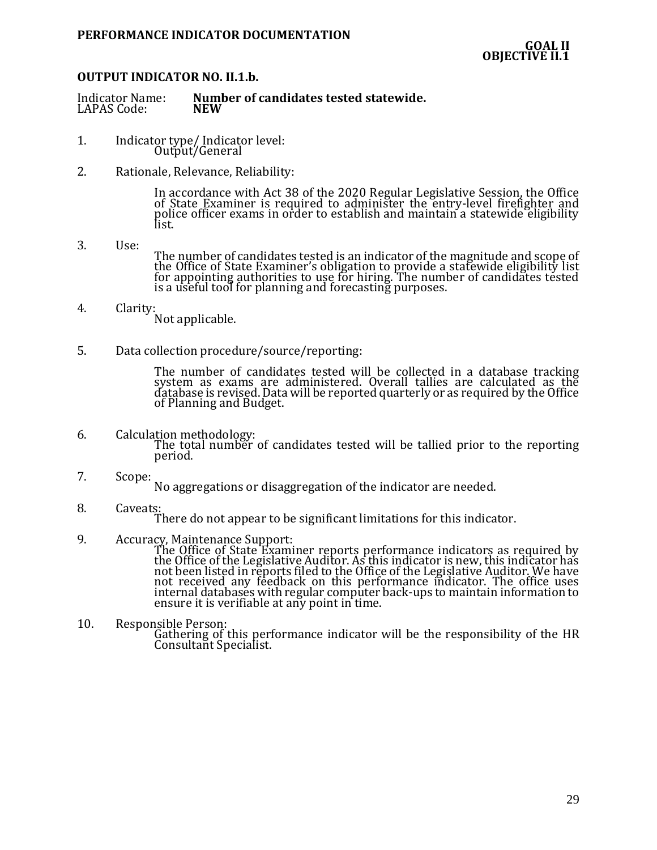### **OUTPUT INDICATOR NO. II.1.b.**

| Indicator Name: | Number of candidates tested statewide. |
|-----------------|----------------------------------------|
| LAPAS Code:     | NEW                                    |

- 1. Indicator type/ Indicator level: Output/General
- 2. Rationale, Relevance, Reliability:

In accordance with Act 38 of the 2020 Regular Legislative Session, the Office of State Examiner is required to administer the entry-level firefighter and police officer exams in order to establish and maintain a statewide eligibility list.

3. Use:

The number of candidates tested is an indicator of the magnitude and scope of the Office of State Examiner's obligation to provide a statewide eligibility list for appointing authorities to use for hiring. The number of candidates tested is a useful tool for planning and forecasting purposes.

- 4. Clarity: Not applicable.
- 5. Data collection procedure/source/reporting:

The number of candidates tested will be collected in a database tracking system as exams are administered. Overall tallies are calculated as the database is revised. Data will be reported quarterly or as required by the Office of Planning and Budget.

- 6. Calculation methodology: The total number of candidates tested will be tallied prior to the reporting period.
- 7. Scope:

No aggregations or disaggregation of the indicator are needed.

8. Caveats:

There do not appear to be significant limitations for this indicator.

9. Accuracy, Maintenance Support:

The Office of State Examiner reports performance indicators as required by the Office of the Legislative Auditor. As this indicator is new, this indicator has not been listed in reports filed to the Office of the Legislative Auditor. We have not received any feedback on this performance indicator. The office uses internal databases with regular computer back-ups to maintain information to ensure it is verifiable at any point in time.

10. Responsible Person:

Gathering of this performance indicator will be the responsibility of the HR Consultant Specialist.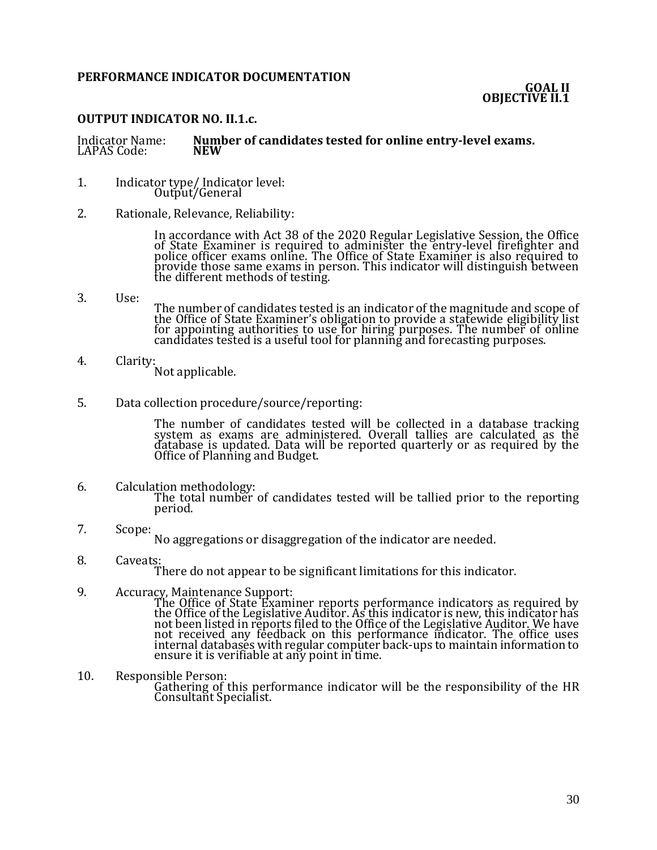# **PERFORMANCE INDICATOR DOCUMENTATION**

# **OUTPUT INDICATOR NO. II.1.c.**

#### Indicator Name: **Number of candidates tested for online entry-level exams.** LAPAS Code:

- 1. Indicator type/ Indicator level: Output/General
- 2. Rationale, Relevance, Reliability:

In accordance with Act 38 of the 2020 Regular Legislative Session, the Office of State Examiner is required to administer the entry-level firefighter and police officer exams online. The Office of State Examiner is also required to provide those same exams in person. This indicator will distinguish between the different methods of testing.

- 3. Use: The number of candidates tested is an indicator of the magnitude and scope of the Office of State Examiner's obligation to provide a statewide eligibility list for appointing authorities to use for hiring purposes. The number of online candidates tested is a useful tool for planning and forecasting purposes.
- 4. Clarity: Not applicable.
- 5. Data collection procedure/source/reporting:

The number of candidates tested will be collected in a database tracking system as exams are administered. Overall tallies are calculated as the database is updated. Data will be reported quarterly or as required by the Office of Planning and Budget.

- 6. Calculation methodology: The total number of candidates tested will be tallied prior to the reporting period.
- 7. Scope:

No aggregations or disaggregation of the indicator are needed.

- 8. Caveats: There do not appear to be significant limitations for this indicator.
- 9. Accuracy, Maintenance Support: The Office of State Examiner reports performance indicators as required by

the Office of the Legislative Auditor. As this indicator is new, this indicator has not been listed in reports filed to the Office of the Legislative Auditor. We have not received any feedback on this performance indicator. The office uses internal databases with regular computer back-ups to maintain information to ensure it is verifiable at any point in time.

10. Responsible Person: Gathering of this performance indicator will be the responsibility of the HR Consultant Specialist.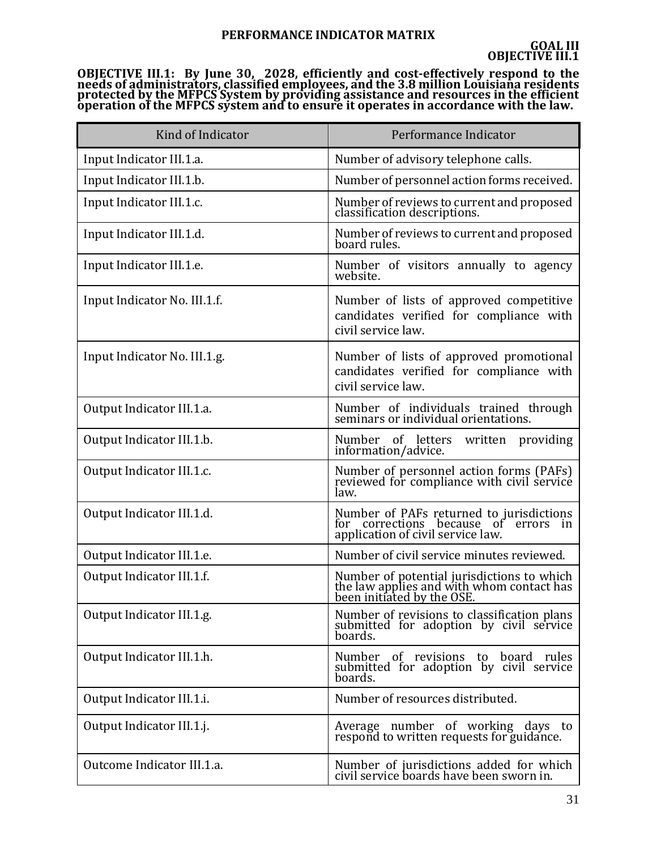# **PERFORMANCE INDICATOR MATRIX**

**OBJECTIVE III.1: By June 30, 2028, efficiently and cost-effectively respond to the needs of administrators, classified employees, and the 3.8 million Louisiana residents protected by the MFPCS System by providing assistance and resources in the efficient operation of the MFPCS system and to ensure it operates in accordance with the law.**

| Kind of Indicator            | Performance Indicator                                                                                                 |
|------------------------------|-----------------------------------------------------------------------------------------------------------------------|
| Input Indicator III.1.a.     | Number of advisory telephone calls.                                                                                   |
| Input Indicator III.1.b.     | Number of personnel action forms received.                                                                            |
| Input Indicator III.1.c.     | Number of reviews to current and proposed<br>classification descriptions.                                             |
| Input Indicator III.1.d.     | Number of reviews to current and proposed<br>board rules.                                                             |
| Input Indicator III.1.e.     | Number of visitors annually to agency<br>website.                                                                     |
| Input Indicator No. III.1.f. | Number of lists of approved competitive<br>candidates verified for compliance with<br>civil service law.              |
| Input Indicator No. III.1.g. | Number of lists of approved promotional<br>candidates verified for compliance with<br>civil service law.              |
| Output Indicator III.1.a.    | Number of individuals trained through<br>seminars or individual orientations.                                         |
| Output Indicator III.1.b.    | Number of letters written providing<br>information/advice.                                                            |
| Output Indicator III.1.c.    | Number of personnel action forms (PAFs)<br>reviewed for compliance with civil service<br>law.                         |
| Output Indicator III.1.d.    | Number of PAFs returned to jurisdictions<br>for corrections because of errors in<br>application of civil service law. |
| Output Indicator III.1.e.    | Number of civil service minutes reviewed.                                                                             |
| Output Indicator III.1.f.    | Number of potential jurisdictions to which<br>the law applies and with whom contact has<br>been initiated by the OSE. |
| Output Indicator III.1.g.    | Number of revisions to classification plans<br>submitted for adoption by civil service<br>boards.                     |
| Output Indicator III.1.h.    | Number of revisions to board rules<br>submitted for adoption by civil service<br>boards.                              |
| Output Indicator III.1.i.    | Number of resources distributed.                                                                                      |
| Output Indicator III.1.j.    | Average number of working days to<br>respond to written requests for guidance.                                        |
| Outcome Indicator III.1.a.   | Number of jurisdictions added for which<br>civil service boards have been sworn in.                                   |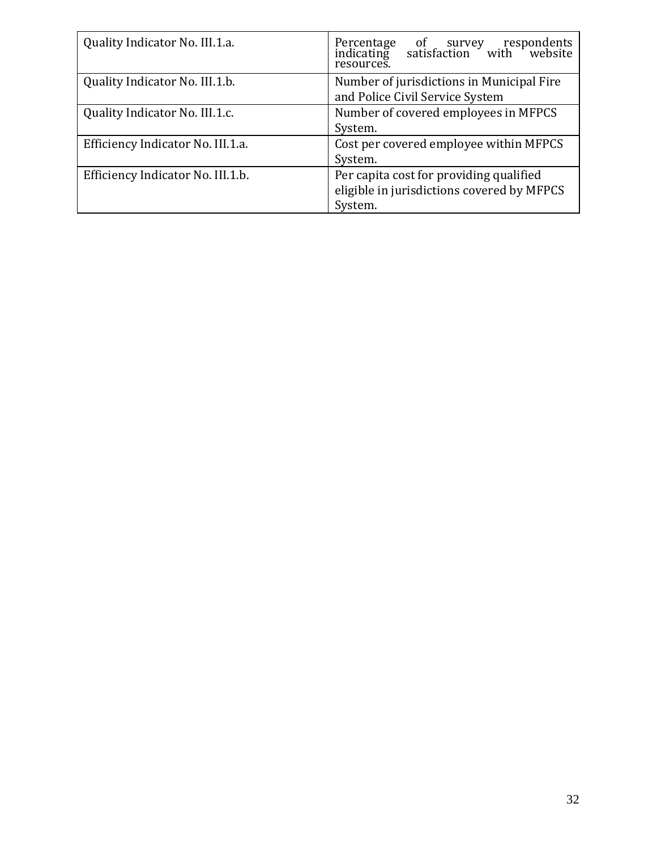| Quality Indicator No. III.1.a.    | of survey respondents<br>satisfaction with website<br>Percentage<br>indicating<br>resources.     |
|-----------------------------------|--------------------------------------------------------------------------------------------------|
| Quality Indicator No. III.1.b.    | Number of jurisdictions in Municipal Fire<br>and Police Civil Service System                     |
| Quality Indicator No. III.1.c.    | Number of covered employees in MFPCS<br>System.                                                  |
| Efficiency Indicator No. III.1.a. | Cost per covered employee within MFPCS<br>System.                                                |
| Efficiency Indicator No. III.1.b. | Per capita cost for providing qualified<br>eligible in jurisdictions covered by MFPCS<br>System. |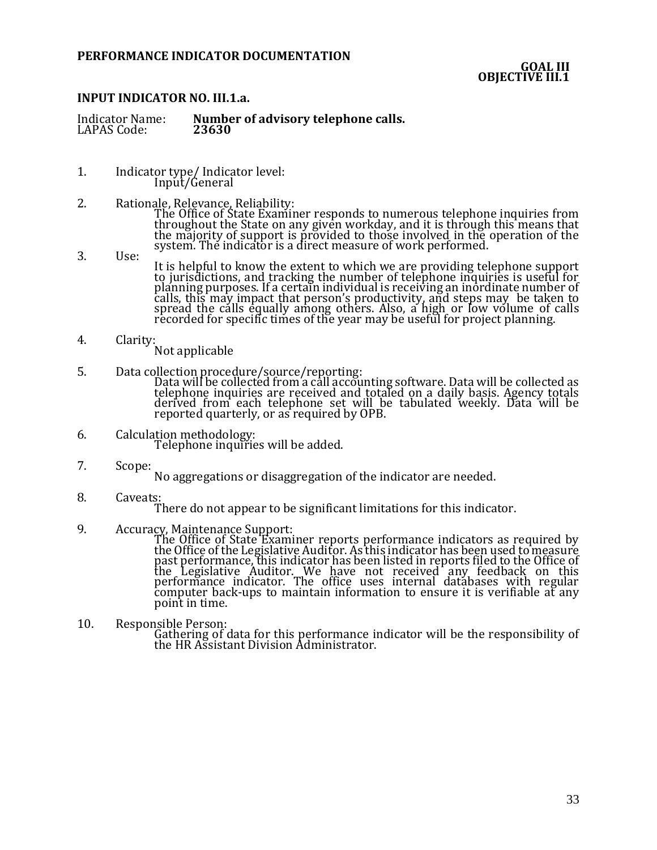### **GOAL III OBJECTIVE III.1**

# **INPUT INDICATOR NO. III.1.a.**

| Number of advisory telephone calls.<br><b>Indicator Name:</b><br>23630<br>LAPAS Code: |
|---------------------------------------------------------------------------------------|
|---------------------------------------------------------------------------------------|

- 1. Indicator type/ Indicator level: Input/General
- 2. Rationale, Relevance, Reliability: The Office of State Examiner responds to numerous telephone inquiries from throughout the State on any given workday, and it is through this means that the majority of support is provided to those involved in the operation of the system. The indicator is a direct measure of work performed.
- 3. Use:
	- It is helpful to know the extent to which we are providing telephone support to jurisdictions, and tracking the number of telephone inquiries is useful for planning purposes. If a certain individual is receiving an inordinate number of calls, this may impact that person's productivity, and steps may be taken to spread the calls equally among others. Also, a high or low volume of calls recorded for specific times of the year may be useful for project planning.
- 4. Clarity:
	- Not applicable
- 5. Data collection procedure/source/reporting:

Data will be collected from a call accounting software. Data will be collected as telephone inquiries are received and totaled on a daily basis. Agency totals derived from each telephone set will be tabulated weekly. Data will be reported quarterly, or as required by OPB.

- 6. Calculation methodology: Telephone inquiries will be added.
- 7. Scope:
	- No aggregations or disaggregation of the indicator are needed.
- 8. Caveats:

There do not appear to be significant limitations for this indicator.

9. Accuracy, Maintenance Support:

The Office of State Examiner reports performance indicators as required by the Office of the Legislative Auditor. As this indicator has been used to measure past performance, this indicator has been listed in reports filed to the Office of the Legislative Auditor. We have not received any feedback on this performance indicator. The office uses internal databases with regular computer back-ups to maintain information to ensure it is verifiable at any point in time.

10. Responsible Person: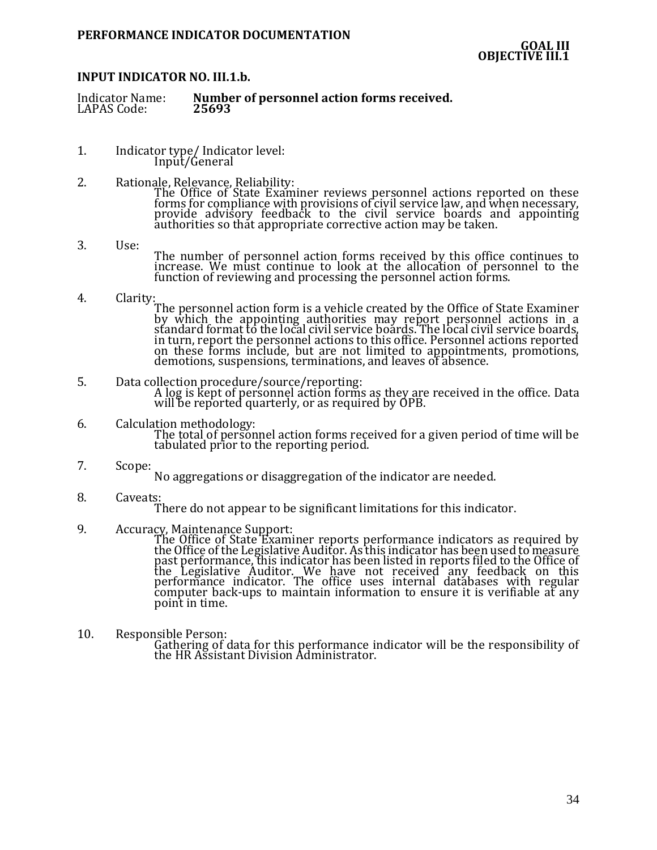### **INPUT INDICATOR NO. III.1.b.**

- 1. Indicator type/ Indicator level: Input/General
- 2. Rationale, Relevance, Reliability:

The Office of State Examiner reviews personnel actions reported on these forms for compliance with provisions of civil service law, and when necessary, provide advisory feedback to the civil service boards and appointing authorities so that appropriate corrective action may be taken.

- 3. Use: The number of personnel action forms received by this office continues to increase. We must continue to look at the allocation of personnel to the function of reviewing and processing the personnel action forms.
- 4. Clarity:

The personnel action form is a vehicle created by the Office of State Examiner by which the appointing authorities may report personnel actions in a standard format to the local civil service boards. The local civil service boards, in turn, report the personnel actions to this office. Personnel actions reported on these forms include, but are not limited to appointments, promotions, demotions, suspensions, terminations, and leaves of absence.

- 5. Data collection procedure/source/reporting: A log is kept of personnel action forms as they are received in the office. Data will be reported quarterly, or as required by OPB.
- 6. Calculation methodology: The total of personnel action forms received for a given period of time will be tabulated prior to the reporting period.
- 7. Scope:
	- No aggregations or disaggregation of the indicator are needed.
- 8. Caveats: There do not appear to be significant limitations for this indicator.
- 9. Accuracy, Maintenance Support:

The Office of State Examiner reports performance indicators as required by the Office of the Legislative Auditor. As this indicator has been used to measure past performance, this indicator has been listed in reports filed to the Office of the Legislative Auditor. We have not received any feedback on this performance indicator. The office uses internal databases with regular computer back-ups to maintain information to ensure it is verifiable at any point in time.

10. Responsible Person: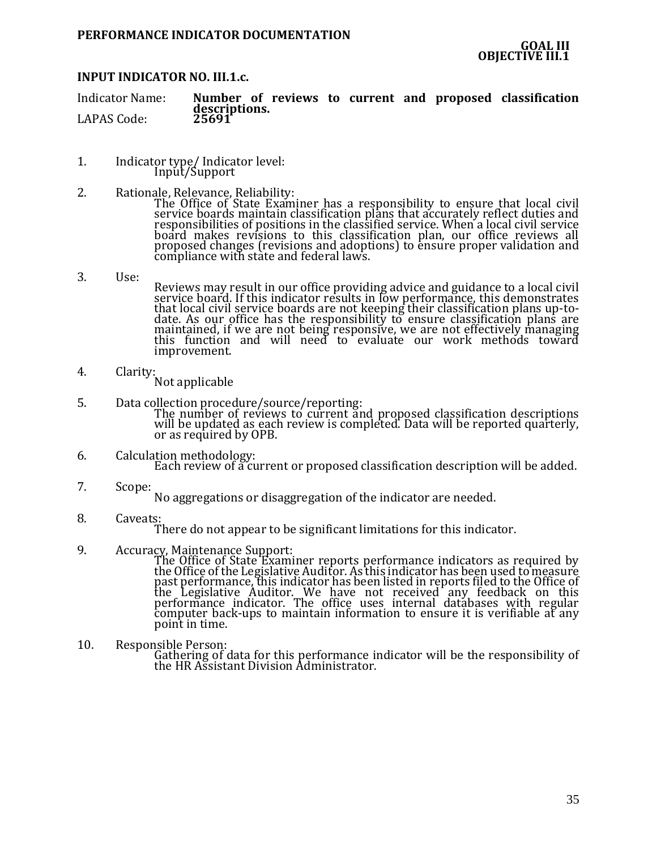# **INPUT INDICATOR NO. III.1.c.**

Indicator Name: **Number of reviews to current and proposed classification descriptions.** LAPAS Code:

- 1. Indicator type/ Indicator level: Input/Support
- 2. Rationale, Relevance, Reliability:
	- The Office of State Examiner has a responsibility to ensure that local civil service boards maintain classification plans that accurately reflect duties and responsibilities of positions in the classified service. When a local civil service board makes revisions to this classification plan, our office reviews all proposed changes (revisions and adoptions) to ensure proper validation and compliance with state and federal laws.
- 3. Use:

Reviews may result in our office providing advice and guidance to a local civil service board. If this indicator results in low performance, this demonstrates that local civil service boards are not keeping their classification plans up-todate. As our office has the responsibility to ensure classification plans are maintained, if we are not being responsive, we are not effectively managing this function and will need to evaluate our work methods toward improvement.

- 4. Clarity:
	- Not applicable
- 5. Data collection procedure/source/reporting: The number of reviews to current and proposed classification descriptions will be updated as each review is completed. Data will be reported quarterly, or as required by OPB.
- 6. Calculation methodology: Each review of a current or proposed classification description will be added.
- 7. Scope: No aggregations or disaggregation of the indicator are needed.
- 8. Caveats:

There do not appear to be significant limitations for this indicator.

9. Accuracy, Maintenance Support:

The Office of State Examiner reports performance indicators as required by the Office of the Legislative Auditor. As this indicator has been used to measure past performance, this indicator has been listed in reports filed to the Office of the Legislative Auditor. We have not received any feedback on this performance indicator. The office uses internal databases with regular computer back-ups to maintain information to ensure it is verifiable at any point in time.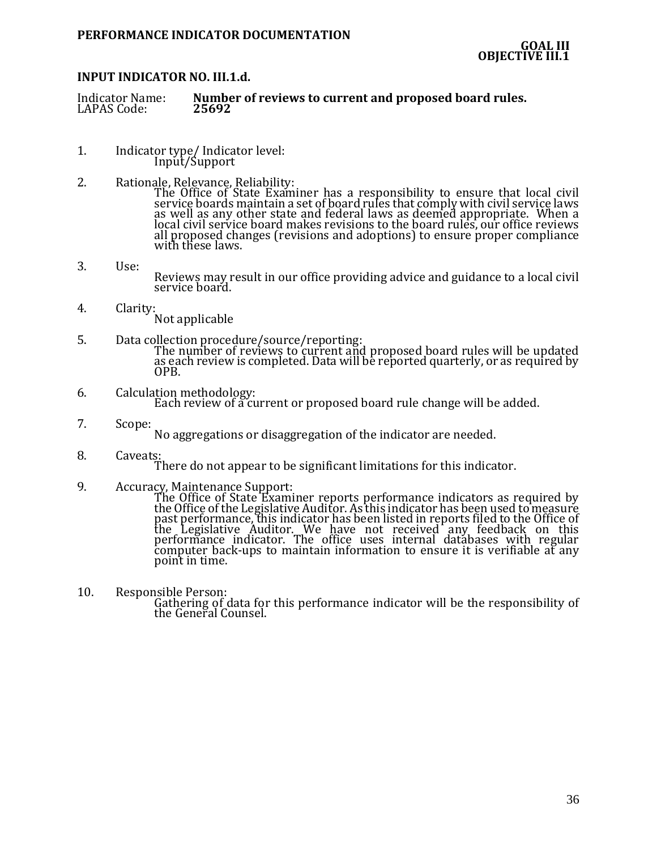# **INPUT INDICATOR NO. III.1.d.**

Indicator Name: **Number of reviews to current and proposed board rules.** LAPAS Code:

- 1. Indicator type/ Indicator level: Input/Support
- 2. Rationale, Relevance, Reliability:

The Office of State Examiner has a responsibility to ensure that local civil service boards maintain a set of board rules that comply with civil service laws as well as any other state and federal laws as deemed appropriate. When a local civil service board makes revisions to the board rules, our office reviews all proposed changes (revisions and adoptions) to ensure proper compliance with these laws.

- 3. Use: Reviews may result in our office providing advice and guidance to a local civil service board.
- 4. Clarity: Not applicable
- 5. Data collection procedure/source/reporting: The number of reviews to current and proposed board rules will be updated as each review is completed. Data will be reported quarterly, or as required by OPB.
- 6. Calculation methodology: Each review of a current or proposed board rule change will be added.
- 7. Scope:
	- No aggregations or disaggregation of the indicator are needed.
- 8. Caveats: There do not appear to be significant limitations for this indicator.
- 9. Accuracy, Maintenance Support: The Office of State Examiner reports performance indicators as required by the Office of the Legislative Auditor. As this indicator has been used to measure past performance, this indicator has been listed in reports filed to the Office of the Legislative Auditor. We have not received any feedback on this performance indicator. The office uses internal databases with regular computer back-ups to maintain information to ensure it is verifiable at any point in time.
- 10. Responsible Person: Gathering of data for this performance indicator will be the responsibility of the General Counsel.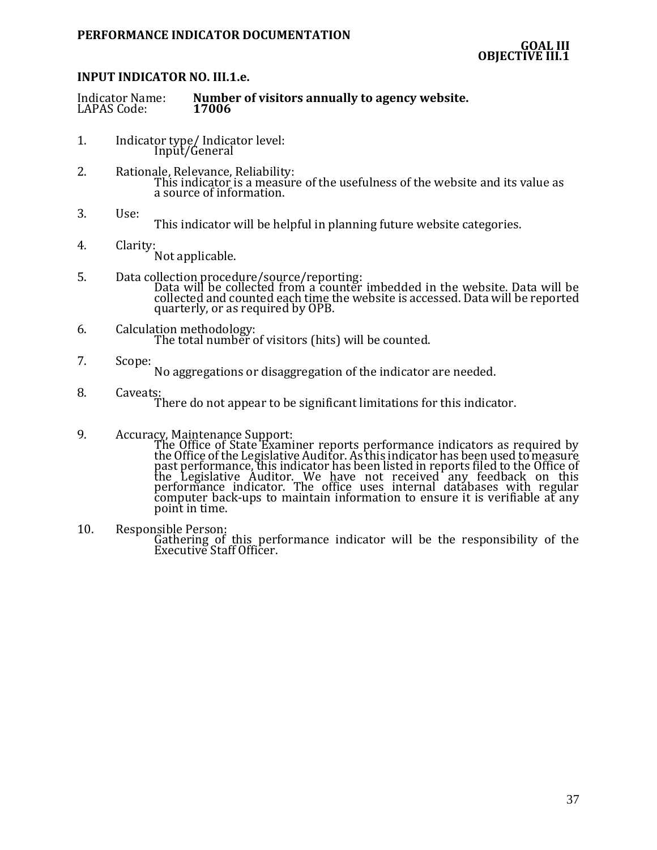# **INPUT INDICATOR NO. III.1.e.**

| <b>Indicator Name:</b> | Number of visitors annually to agency website. |
|------------------------|------------------------------------------------|
| LAPAS Code:            | 17006                                          |

- 1. Indicator type/ Indicator level: Input/General
- 2. Rationale, Relevance, Reliability: This indicator is a measure of the usefulness of the website and its value as a source of information.
- 3. Use:
	- This indicator will be helpful in planning future website categories.
- 4. Clarity: Not applicable.
- 5. Data collection procedure/source/reporting: Data will be collected from a counter imbedded in the website. Data will be collected and counted each time the website is accessed. Data will be reported quarterly, or as required by OPB.
- 6. Calculation methodology: The total number of visitors (hits) will be counted.
- 7. Scope: No aggregations or disaggregation of the indicator are needed.
- 8. Caveats: There do not appear to be significant limitations for this indicator.
- 9. Accuracy, Maintenance Support:

The Office of State Examiner reports performance indicators as required by the Office of the Legislative Auditor. As this indicator has been used to measure past performance, this indicator has been listed in reports filed to the Office of the Legislative Auditor. We have not received any feedback on this performance indicator. The office uses internal databases with regular computer back-ups to maintain information to ensure it is verifiable at any point in time.

10. Responsible Person:

Gathering of this performance indicator will be the responsibility of the Executive Staff Officer.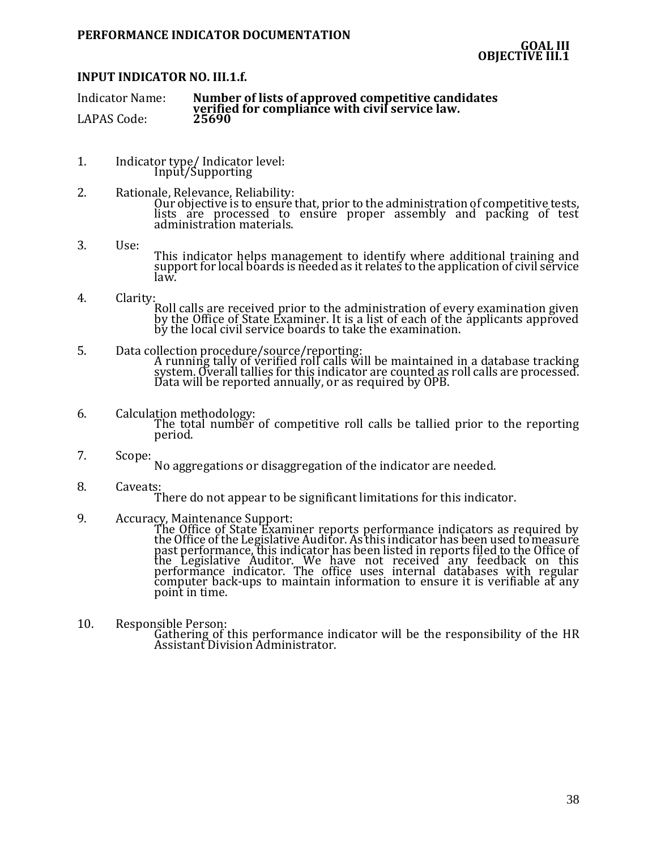# **INPUT INDICATOR NO. III.1.f.**

Indicator Name: **Number of lists of approved competitive candidates verified for compliance with civil service law.** LAPAS Code:

- 1. Indicator type/ Indicator level: Input/Supporting
- 2. Rationale, Relevance, Reliability: Our objective is to ensure that, prior to the administration of competitive tests, lists are processed to ensure proper assembly and packing of test administration materials.
- 3. Use: This indicator helps management to identify where additional training and support for local boards is needed as it relates to the application of civil service law.
- 4. Clarity:

Roll calls are received prior to the administration of every examination given by the Office of State Examiner. It is a list of each of the applicants approved by the local civil service boards to take the examination.

- 5. Data collection procedure/source/reporting: A running tally of verified roll calls will be maintained in a database tracking system. Overall tallies for this indicator are counted as roll calls are processed. Data will be reported annually, or as required by OPB.
- 6. Calculation methodology: The total number of competitive roll calls be tallied prior to the reporting period.
- 7. Scope: No aggregations or disaggregation of the indicator are needed.
- 8. Caveats: There do not appear to be significant limitations for this indicator.
- 9. Accuracy, Maintenance Support:

The Office of State Examiner reports performance indicators as required by the Office of the Legislative Auditor. As this indicator has been used to measure past performance, this indicator has been listed in reports filed to the Office of the Legislative Auditor. We have not received any feedback on this performance indicator. The office uses internal databases with regular computer back-ups to maintain information to ensure it is verifiable at any point in time.

10. Responsible Person: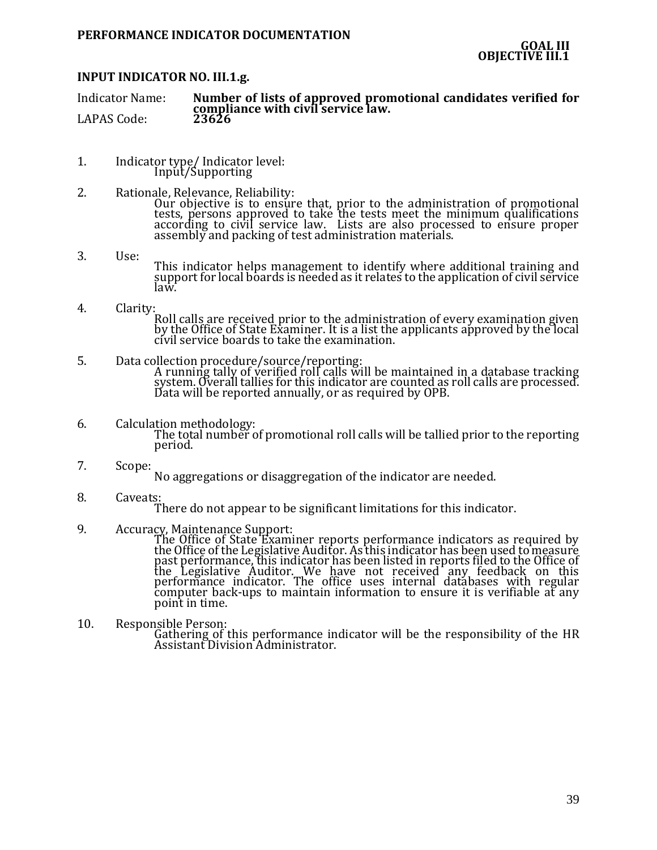# **INPUT INDICATOR NO. III.1.g.**

Indicator Name: **Number of lists of approved promotional candidates verified for compliance with civil service law.** LAPAS Code:

- 1. Indicator type/ Indicator level: Input/Supporting
- 2. Rationale, Relevance, Reliability: Our objective is to ensure that, prior to the administration of promotional tests, persons approved to take the tests meet the minimum qualifications according to civil service law. Lists are also processed to ensure proper assembly and packing of test administration materials.
- 3. Use: This indicator helps management to identify where additional training and support for local boards is needed as it relates to the application of civil service law.
- 4. Clarity: Roll calls are received prior to the administration of every examination given by the Office of State Examiner. It is a list the applicants approved by the local civil service boards to take the examination.
- 5. Data collection procedure/source/reporting: A running tally of verified roll calls will be maintained in a database tracking system. Overall tallies for this indicator are counted as roll calls are processed. Data will be reported annually, or as required by OPB.
- 6. Calculation methodology: The total number of promotional roll calls will be tallied prior to the reporting period.
- 7. Scope: No aggregations or disaggregation of the indicator are needed.
- 8. Caveats: There do not appear to be significant limitations for this indicator.
- 9. Accuracy, Maintenance Support:

The Office of State Examiner reports performance indicators as required by the Office of the Legislative Auditor. As this indicator has been used to measure past performance, this indicator has been listed in reports filed to the Office of the Legislative Auditor. We have not received any feedback on this performance indicator. The office uses internal databases with regular computer back-ups to maintain information to ensure it is verifiable at any point in time.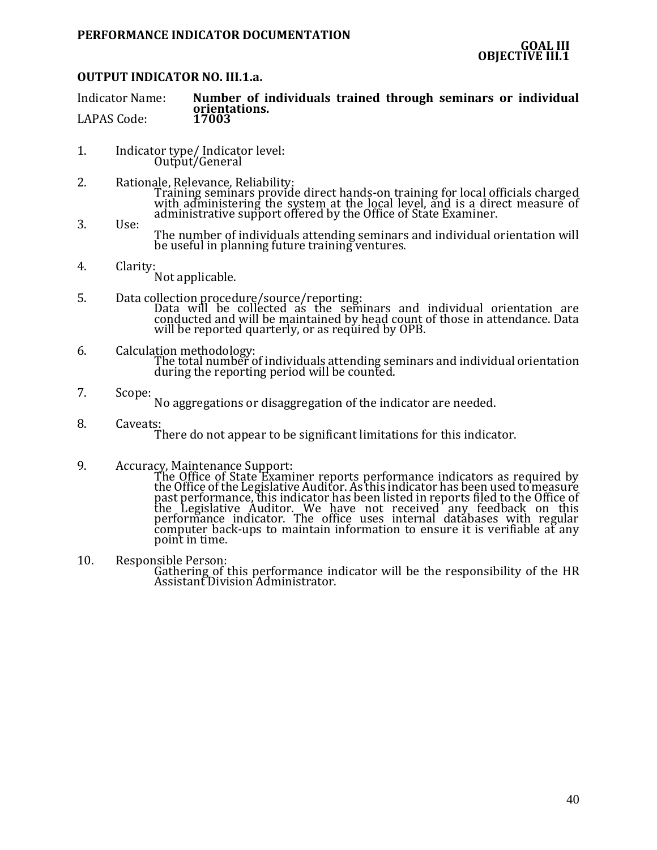### **OUTPUT INDICATOR NO. III.1.a.**

Indicator Name: **Number of individuals trained through seminars or individual orientations.** LAPAS Code:

- 1. Indicator type/ Indicator level: Output/General
- 2. Rationale, Relevance, Reliability: Training seminars provide direct hands-on training for local officials charged with administering the system at the local level, and is a direct measure of administrative support offered by the Office of State Examiner.
- 3. Use: The number of individuals attending seminars and individual orientation will be useful in planning future training ventures.
- 4. Clarity: Not applicable.
- 5. Data collection procedure/source/reporting: Data will be collected as the seminars and individual orientation are conducted and will be maintained by head count of those in attendance. Data will be reported quarterly, or as required by OPB.
- 6. Calculation methodology: The total number of individuals attending seminars and individual orientation during the reporting period will be counted.
- 7. Scope:

No aggregations or disaggregation of the indicator are needed.

8. Caveats:

There do not appear to be significant limitations for this indicator.

9. Accuracy, Maintenance Support:

The Office of State Examiner reports performance indicators as required by the Office of the Legislative Auditor. As this indicator has been used to measure past performance, this indicator has been listed in reports filed to the Office of the Legislative Auditor. We have not received any feedback on this performance indicator. The office uses internal databases with regular computer back-ups to maintain information to ensure it is verifiable at any point in time.

10. Responsible Person: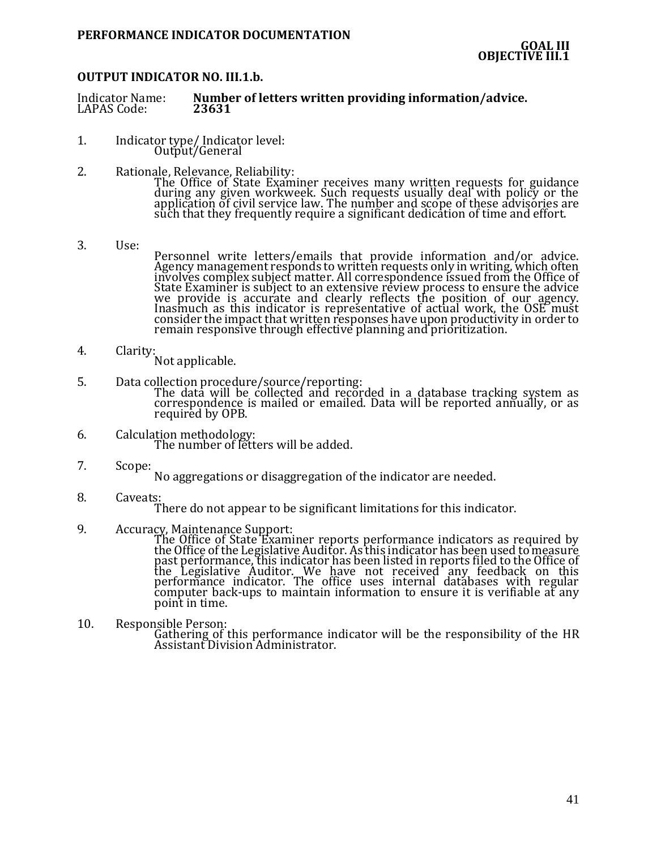### **OUTPUT INDICATOR NO. III.1.b.**

| <b>Indicator Name:</b> | Number of letters written providing information/advice. |
|------------------------|---------------------------------------------------------|
| LAPAS Code:            | 23631                                                   |
|                        |                                                         |

- 1. Indicator type/ Indicator level: Output/General
- 2. Rationale, Relevance, Reliability: The Office of State Examiner receives many written requests for guidance during any given workweek. Such requests usually deal with policy or the application of civil service law. The number and scope of these advisories are such that they frequently require a significant dedication of time and effort.
- 3. Use: Personnel write letters/emails that provide information and/or advice. Agency management responds to written requests only in writing, which often involves complex subject matter. All correspondence issued from the Office of State Examiner is subject to an extensive review process to ensure the advice we provide is accurate and clearly reflects the position of our agency. Inasmuch as this indicator is representative of actual work, the OSE must consider the impact that written responses have upon productivity in order to remain responsive through effective planning and prioritization.
- 4. Clarity: Not applicable.
- 5. Data collection procedure/source/reporting:

The data will be collected and recorded in a database tracking system as correspondence is mailed or emailed. Data will be reported annually, or as required by OPB.

- 6. Calculation methodology: The number of letters will be added.
- 7. Scope:
	- No aggregations or disaggregation of the indicator are needed.
- 8. Caveats:

There do not appear to be significant limitations for this indicator.

9. Accuracy, Maintenance Support:

The Office of State Examiner reports performance indicators as required by the Office of the Legislative Auditor. As this indicator has been used to measure past performance, this indicator has been listed in reports filed to the Office of the Legislative Auditor. We have not received any feedback on this performance indicator. The office uses internal databases with regular computer back-ups to maintain information to ensure it is verifiable at any point in time.

10. Responsible Person: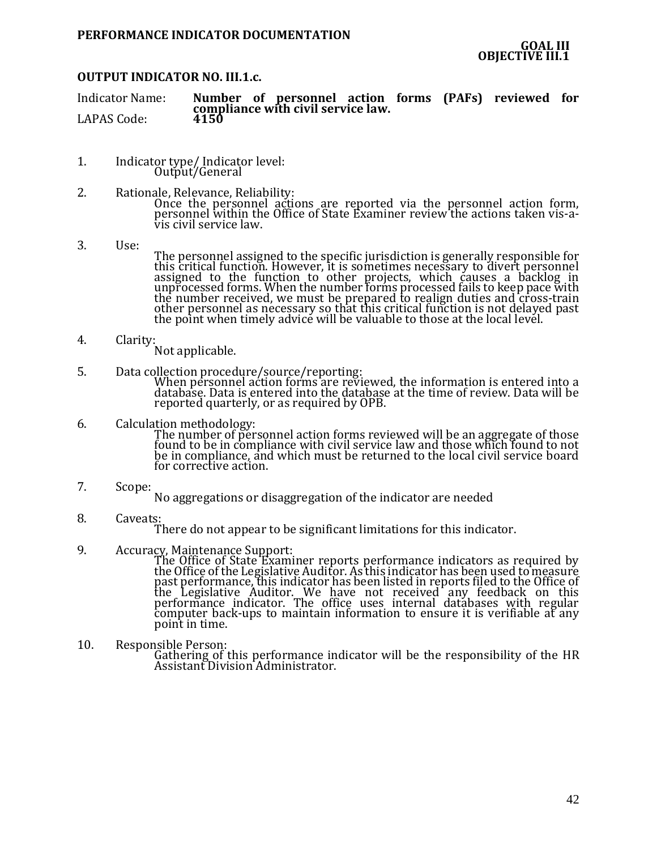# **OUTPUT INDICATOR NO. III.1.c.**

Indicator Name: **Number of personnel action forms (PAFs) reviewed for compliance with civil service law.** LAPAS Code:

- 1. Indicator type/ Indicator level: Output/General
- 2. Rationale, Relevance, Reliability: Once the personnel actions are reported via the personnel action form, personnel within the Office of State Examiner review the actions taken vis-avis civil service law.
- 3. Use:
- The personnel assigned to the specific jurisdiction is generally responsible for this critical function. However, it is sometimes necessary to divert personnel assigned to the function to other projects, which causes a backlog in unprocessed forms. When the number forms processed fails to keep pace with the number received, we must be prepared to realign duties and cross-train other personnel as necessary so that this critical function is not delayed past the point when timely advice will be valuable to those at the local level.
- 4. Clarity:
	- Not applicable.
- 5. Data collection procedure/source/reporting:

When personnel action forms are reviewed, the information is entered into a database. Data is entered into the database at the time of review. Data will be reported quarterly, or as required by OPB.

- 6. Calculation methodology: The number of personnel action forms reviewed will be an aggregate of those found to be in compliance with civil service law and those which found to not be in compliance, and which must be returned to the local civil service board for corrective action.
- 7. Scope: No aggregations or disaggregation of the indicator are needed
- 8. Caveats: There do not appear to be significant limitations for this indicator.
- 9. Accuracy, Maintenance Support:

The Office of State Examiner reports performance indicators as required by the Office of the Legislative Auditor. As this indicator has been used to measure past performance, this indicator has been listed in reports filed to the Office of the Legislative Auditor. We have not received any feedback on this performance indicator. The office uses internal databases with regular computer back-ups to maintain information to ensure it is verifiable at any point in time.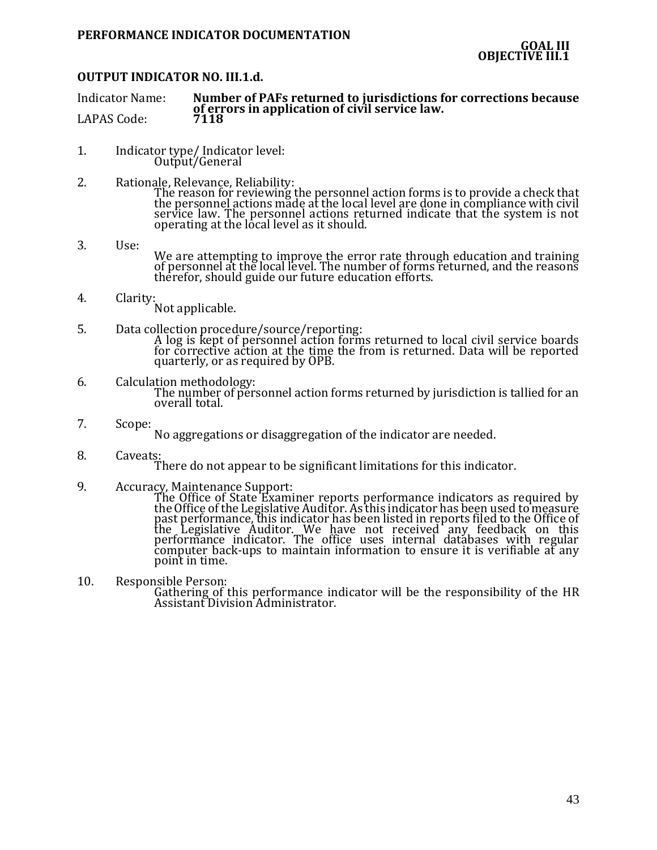# **OUTPUT INDICATOR NO. III.1.d.**

Indicator Name: **Number of PAFs returned to jurisdictions for corrections because of errors in application of civil service law.** LAPAS Code:

- 1. Indicator type/ Indicator level: Output/General
- 2. Rationale, Relevance, Reliability: The reason for reviewing the personnel action forms is to provide a check that the personnel actions made at the local level are done in compliance with civil service law. The personnel actions returned indicate that the system is not operating at the local level as it should.
- 3. Use: We are attempting to improve the error rate through education and training of personnel at the local level. The number of forms returned, and the reasons therefor, should guide our future education efforts.
- 4. Clarity: Not applicable.
- 5. Data collection procedure/source/reporting: A log is kept of personnel action forms returned to local civil service boards for corrective action at the time the from is returned. Data will be reported quarterly, or as required by OPB.
- 6. Calculation methodology: The number of personnel action forms returned by jurisdiction is tallied for an overall total.
- 7. Scope:

No aggregations or disaggregation of the indicator are needed.

8. Caveats: There do not appear to be significant limitations for this indicator.

point in time.

- 9. Accuracy, Maintenance Support: The Office of State Examiner reports performance indicators as required by the Office of the Legislative Auditor. As this indicator has been used to measure past performance, this indicator has been listed in reports filed to the Office of the Legislative Auditor. We have not received any feedback on this performance indicator. The office uses internal databases with regular
- 10. Responsible Person:

Gathering of this performance indicator will be the responsibility of the HR Assistant Division Administrator.

computer back-ups to maintain information to ensure it is verifiable at any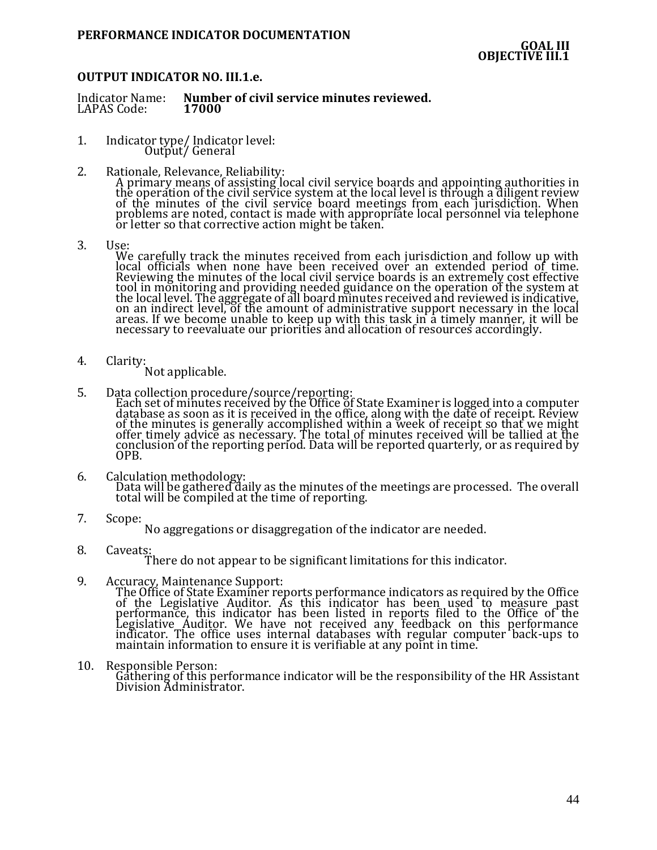# **OUTPUT INDICATOR NO. III.1.e.**

Indicator Name: **Number of civil service minutes reviewed.** LAPAS Code:

- 1. Indicator type/ Indicator level: Output/ General
- 2. Rationale, Relevance, Reliability: A primary means of assisting local civil service boards and appointing authorities in the operation of the civil service system at the local level is through a diligent review of the minutes of the civil service board meetings from each jurisdiction. When problems are noted, contact is made with appropriate local personnel via telephone or letter so that corrective action might be taken.
- 3. Use:

We carefully track the minutes received from each jurisdiction and follow up with local officials when none have been received over an extended period of time. Reviewing the minutes of the local civil service boards is an extremely cost effective tool in monitoring and providing needed guidance on the operation of the system at the local level. The aggregate of all board minutes received and reviewed is indicative, on an indirect level, of the amount of administrative support necessary in the local areas. If we become unable to keep up with this task in a timely manner, it will be necessary to reevaluate our priorities and allocation of resources accordingly.

4. Clarity:

Not applicable.

5. Data collection procedure/source/reporting:

Each set of minutes received by the Office of State Examiner is logged into a computer database as soon as it is received in the office, along with the date of receipt. Review of the minutes is generally accomplished within a week of receipt so that we might offer timely advice as necessary. The total of minutes received will be tallied at the conclusion of the reporting period. Data will be reported quarterly, or as required by OPB.

- 6. Calculation methodology: Data will be gathered daily as the minutes of the meetings are processed. The overall total will be compiled at the time of reporting.
- 7. Scope:

No aggregations or disaggregation of the indicator are needed.

8. Caveats:

There do not appear to be significant limitations for this indicator.

9. Accuracy, Maintenance Support:

The Office of State Examiner reports performance indicators as required by the Office of the Legislative Auditor. As this indicator has been used to measure past performance, this indicator has been listed in reports filed to the Office of the Legislative Auditor. We have not received any feedback on this performance indicator. The office uses internal databases with regular computer back-ups to maintain information to ensure it is verifiable at any point in time.

10. Responsible Person: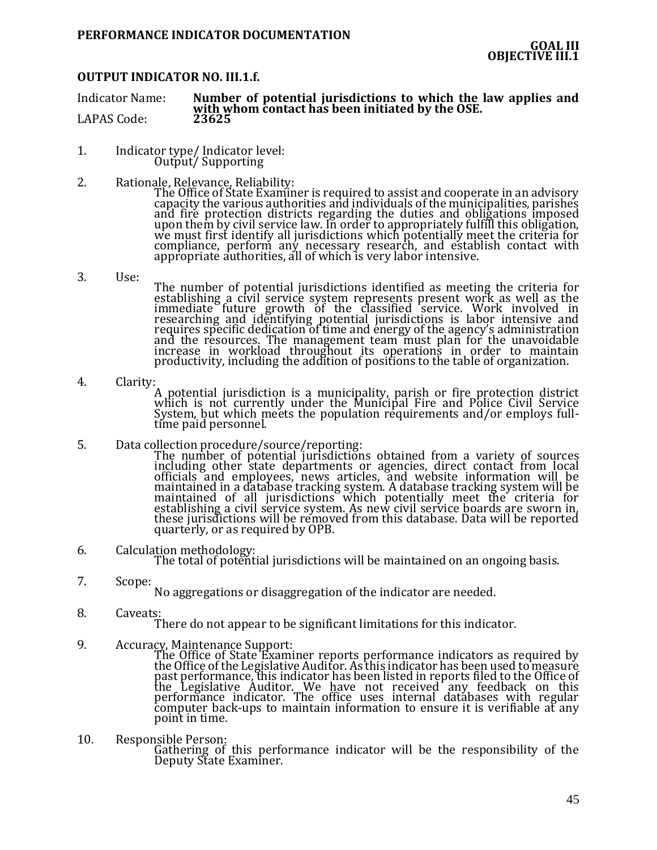### **OUTPUT INDICATOR NO. III.1.f.**

Indicator Name: **Number of potential jurisdictions to which the law applies and**  with whom contact has been initiated by the OSE.<br>23625 LAPAS Code:

- 1. Indicator type/ Indicator level: Output/ Supporting
- 2. Rationale, Relevance, Reliability:

The Office of State Examiner is required to assist and cooperate in an advisory capacity the various authorities and individuals of the municipalities, parishes and fire protection districts regarding the duties and obligations imposed upon them by civil service law. In order to appropriately fulfill this obligation, we must first identify all jurisdictions which potentially meet the criteria for compliance, perform any necessary research, and establish contact with appropriate authorities, all of which is very labor intensive.

3. Use:

The number of potential jurisdictions identified as meeting the criteria for establishing a civil service system represents present work as well as the immediate future growth of the classified service. Work involved in researching and identifying potential jurisdictions is labor intensive and requires specific dedication of time and energy of the agency's administration and the resources. The management team must plan for the unavoidable increase in workload throughout its operations in order to maintain productivity, including the addition of positions to the table of organization.

- 4. Clarity: A potential jurisdiction is a municipality, parish or fire protection district which is not currently under the Municipal Fire and Police Civil Service System, but which meets the population requirements and/or employs fulltime paid personnel.
- 5. Data collection procedure/source/reporting:

The number of potential jurisdictions obtained from a variety of sources including other state departments or agencies, direct contact from local officials and employees, news articles, and website information will be maintained in a database tracking system. A database tracking system will be maintained of all jurisdictions which potentially meet the criteria for establishing a civil service system. As new civil service boards are sworn in, these jurisdictions will be removed from this database. Data will be reported quarterly, or as required by OPB.

6. Calculation methodology:

The total of potential jurisdictions will be maintained on an ongoing basis.

7. Scope:

No aggregations or disaggregation of the indicator are needed.

8. Caveats:

There do not appear to be significant limitations for this indicator.

9. Accuracy, Maintenance Support:

The Office of State Examiner reports performance indicators as required by the Office of the Legislative Auditor. As this indicator has been used to measure past performance, this indicator has been listed in reports filed to the Office of the Legislative Auditor. We have not received any feedback on this performance indicator. The office uses internal databases with regular computer back-ups to maintain information to ensure it is verifiable at any point in time.

10. Responsible Person: Gathering of this performance indicator will be the responsibility of the Deputy State Examiner.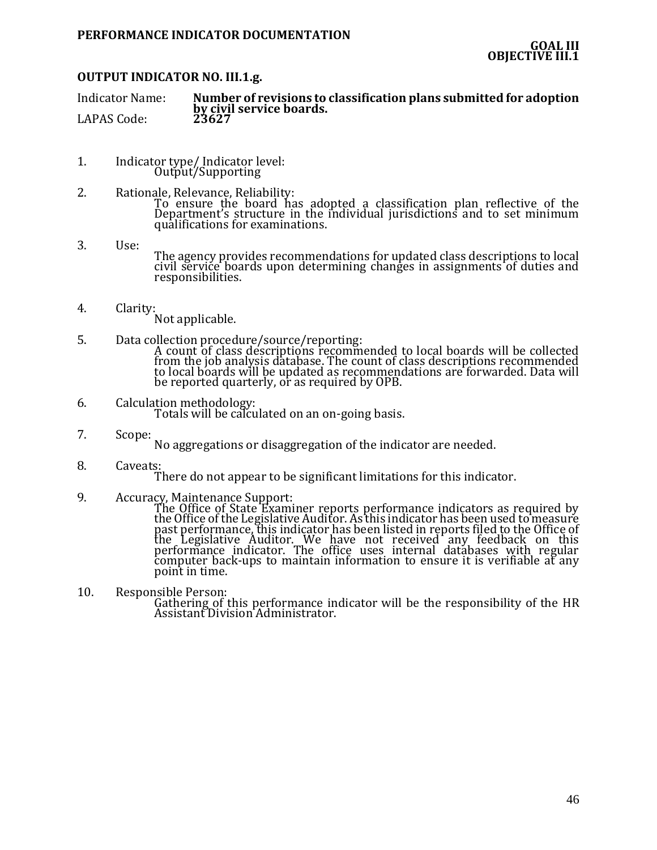# **OUTPUT INDICATOR NO. III.1.g.**

Indicator Name: **Number of revisions to classification plans submitted for adoption by civil service boards.** LAPAS Code:

- 1. Indicator type/ Indicator level: Output/Supporting
- 2. Rationale, Relevance, Reliability: To ensure the board has adopted a classification plan reflective of the Department's structure in the individual jurisdictions and to set minimum qualifications for examinations.
- 3. Use: The agency provides recommendations for updated class descriptions to local civil service boards upon determining changes in assignments of duties and responsibilities.
- 4. Clarity: Not applicable.
- 5. Data collection procedure/source/reporting: A count of class descriptions recommended to local boards will be collected from the job analysis database. The count of class descriptions recommended to local boards will be updated as recommendations are forwarded. Data will be reported quarterly, or as required by OPB.
- 6. Calculation methodology: Totals will be calculated on an on-going basis.
- 7. Scope: No aggregations or disaggregation of the indicator are needed.
- 8. Caveats:
	- There do not appear to be significant limitations for this indicator.
- 9. Accuracy, Maintenance Support:

The Office of State Examiner reports performance indicators as required by the Office of the Legislative Auditor. As this indicator has been used to measure past performance, this indicator has been listed in reports filed to the Office of the Legislative Auditor. We have not received any feedback on this performance indicator. The office uses internal databases with regular computer back-ups to maintain information to ensure it is verifiable at any point in time.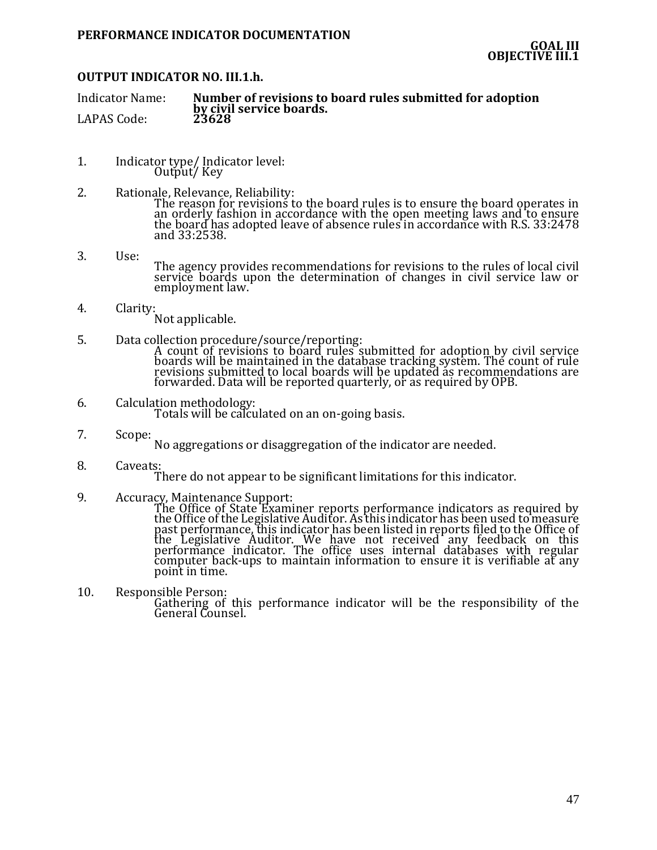# **OUTPUT INDICATOR NO. III.1.h.**

Indicator Name: **Number of revisions to board rules submitted for adoption by civil service boards.** LAPAS Code:

- 1. Indicator type/ Indicator level: Output/ Key
- 2. Rationale, Relevance, Reliability: The reason for revisions to the board rules is to ensure the board operates in an orderly fashion in accordance with the open meeting laws and to ensure the board has adopted leave of absence rules in accordance with R.S. 33:2478 and 33:2538.
- 3. Use: The agency provides recommendations for revisions to the rules of local civil service boards upon the determination of changes in civil service law or employment law.
- 4. Clarity: Not applicable.
- 5. Data collection procedure/source/reporting: A count of revisions to board rules submitted for adoption by civil service boards will be maintained in the database tracking system. The count of rule revisions submitted to local boards will be updated as recommendations are forwarded. Data will be reported quarterly, or as required by OPB.
- 6. Calculation methodology: Totals will be calculated on an on-going basis.
- 7. Scope: No aggregations or disaggregation of the indicator are needed.
- 8. Caveats:
	- There do not appear to be significant limitations for this indicator.
- 9. Accuracy, Maintenance Support:

The Office of State Examiner reports performance indicators as required by the Office of the Legislative Auditor. As this indicator has been used to measure past performance, this indicator has been listed in reports filed to the Office of the Legislative Auditor. We have not received any feedback on this performance indicator. The office uses internal databases with regular computer back-ups to maintain information to ensure it is verifiable at any point in time.

10. Responsible Person: Gathering of this performance indicator will be the responsibility of the General Counsel.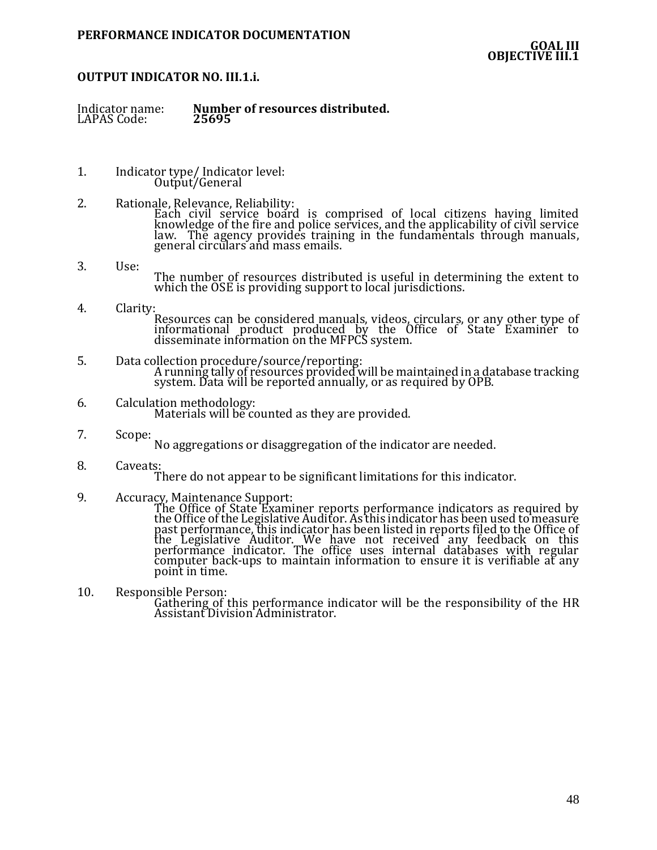# **OUTPUT INDICATOR NO. III.1.i.**

Number of resources distributed.<br>25695 Indicator name:<br>LAPAS Code:

- 1. Indicator type/ Indicator level: Output/General
- 2. Rationale, Relevance, Reliability: Each civil service board is comprised of local citizens having limited knowledge of the fire and police services, and the applicability of civil service law. The agency provides training in the fundamentals through manuals, general circulars and mass emails.
- 3. Use: The number of resources distributed is useful in determining the extent to which the OSE is providing support to local jurisdictions.
- 4. Clarity: Resources can be considered manuals, videos, circulars, or any other type of informational product produced by the Office of State Examiner to disseminate information on the MFPCS system.
- 5. Data collection procedure/source/reporting: A running tally of resources provided will be maintained in a database tracking system. Data will be reported annually, or as required by OPB.
- 6. Calculation methodology: Materials will be counted as they are provided.
- 7. Scope: No aggregations or disaggregation of the indicator are needed.
- 8. Caveats:
	- There do not appear to be significant limitations for this indicator.
- 9. Accuracy, Maintenance Support:

The Office of State Examiner reports performance indicators as required by the Office of the Legislative Auditor. As this indicator has been used to measure past performance, this indicator has been listed in reports filed to the Office of the Legislative Auditor. We have not received any feedback on this performance indicator. The office uses internal databases with regular computer back-ups to maintain information to ensure it is verifiable at any point in time.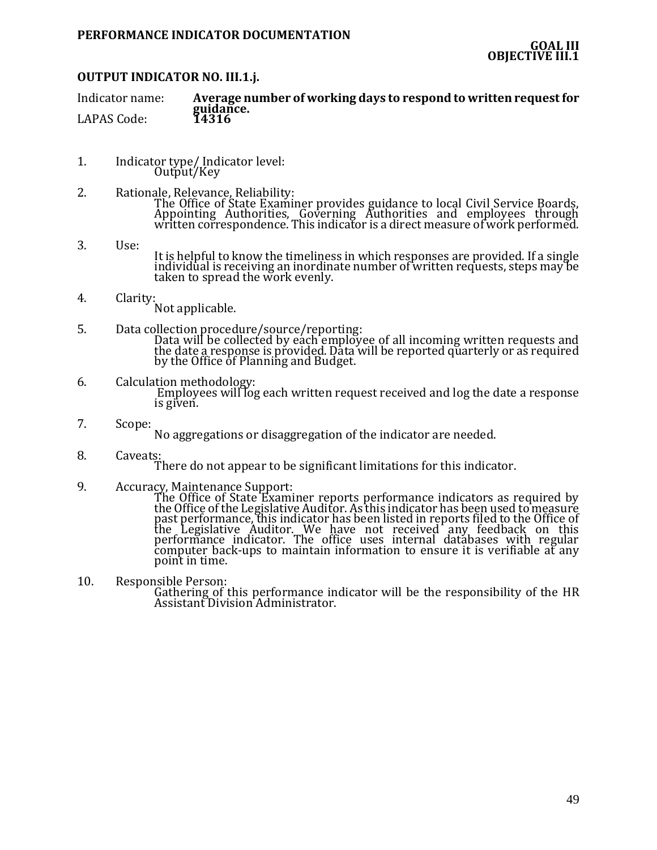# **OUTPUT INDICATOR NO. III.1.j.**

Indicator name: **Average number of working days to respond to written request for guidance.** LAPAS Code:

- 1. Indicator type/ Indicator level: Output/Key
- 2. Rationale, Relevance, Reliability: The Office of State Examiner provides guidance to local Civil Service Boards, Appointing Authorities, Governing Authorities and employees through written correspondence. This indicator is a direct measure of work performed.
- 3. Use: It is helpful to know the timeliness in which responses are provided. If a single individual is receiving an inordinate number of written requests, steps may be taken to spread the work evenly.
- 4. Clarity: Not applicable.
- 5. Data collection procedure/source/reporting: Data will be collected by each employee of all incoming written requests and the date a response is provided. Data will be reported quarterly or as required by the Office of Planning and Budget.
- 6. Calculation methodology: Employees will log each written request received and log the date a response is given.
- 7. Scope:

No aggregations or disaggregation of the indicator are needed.

8. Caveats:

There do not appear to be significant limitations for this indicator.

9. Accuracy, Maintenance Support:

The Office of State Examiner reports performance indicators as required by the Office of the Legislative Auditor. As this indicator has been used to measure past performance, this indicator has been listed in reports filed to the Office of the Legislative Auditor. We have not received any feedback on this performance indicator. The office uses internal databases with regular computer back-ups to maintain information to ensure it is verifiable at any point in time.

10. Responsible Person: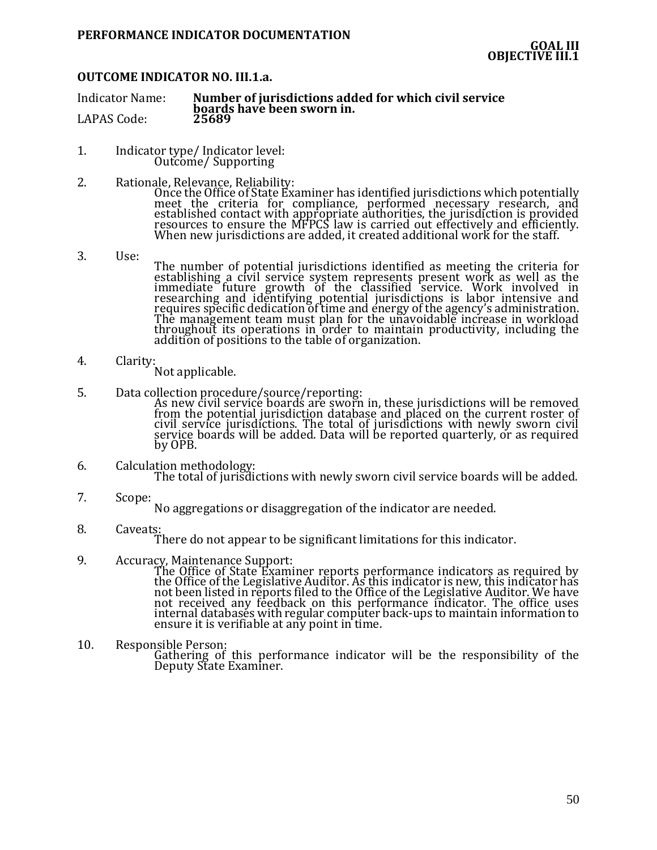### **OUTCOME INDICATOR NO. III.1.a.**

Indicator Name: **Number of jurisdictions added for which civil service boards have been sworn in.** LAPAS Code:

- 1. Indicator type/ Indicator level: Outcome/ Supporting
- 2. Rationale, Relevance, Reliability:

Once the Office of State Examiner has identified jurisdictions which potentially meet the criteria for compliance, performed necessary research, and established contact with appropriate authorities, the jurisdiction is provided resources to ensure the MFPCS law is carried out effectively and efficiently. When new jurisdictions are added, it created additional work for the staff.

- 3. Use: The number of potential jurisdictions identified as meeting the criteria for establishing a civil service system represents present work as well as the immediate future growth of the classified service. Work involved in researching and identifying potential jurisdictions is labor intensive and requires specific dedication of time and energy of the agency's administration. The management team must plan for the unavoidable increase in workload throughout its operations in order to maintain productivity, including the addition of positions to the table of organization.
- 4. Clarity: Not applicable.
- 5. Data collection procedure/source/reporting:

As new civil service boards are sworn in, these jurisdictions will be removed from the potential jurisdiction database and placed on the current roster of civil service jurisdictions. The total of jurisdictions with newly sworn civil service boards will be added. Data will be reported quarterly, or as required by OPB.

- 6. Calculation methodology: The total of jurisdictions with newly sworn civil service boards will be added.
- 7. Scope:

No aggregations or disaggregation of the indicator are needed.

8. Caveats:

There do not appear to be significant limitations for this indicator.

9. Accuracy, Maintenance Support:

The Office of State Examiner reports performance indicators as required by the Office of the Legislative Auditor. As this indicator is new, this indicator has not been listed in reports filed to the Office of the Legislative Auditor. We have not received any feedback on this performance indicator. The office uses internal databases with regular computer back-ups to maintain information to ensure it is verifiable at any point in time.

10. Responsible Person: Gathering of this performance indicator will be the responsibility of the Deputy State Examiner.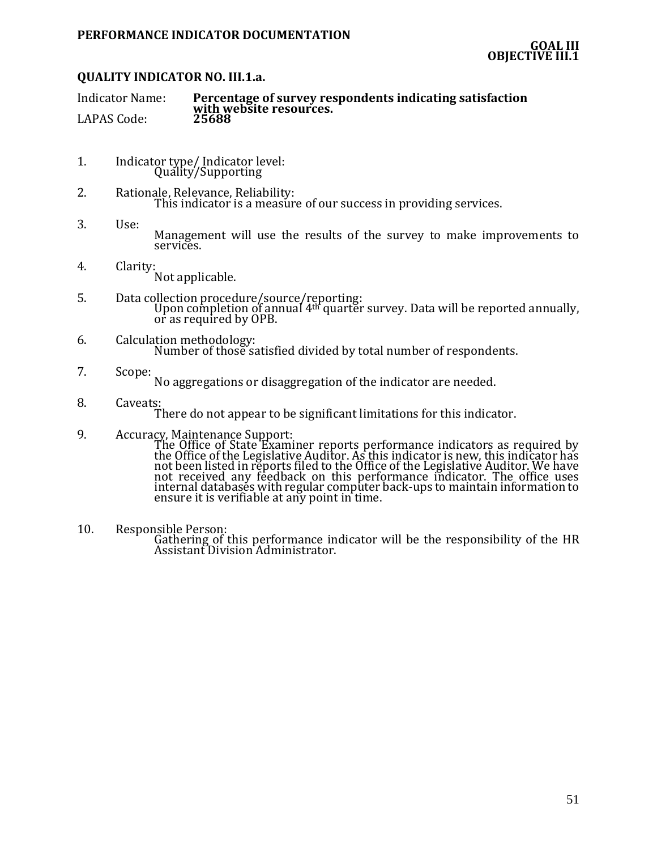# **QUALITY INDICATOR NO. III.1.a.**

| <b>Indicator Name:</b> | Percentage of survey respondents indicating satisfaction |
|------------------------|----------------------------------------------------------|
| LAPAS Code:            | with website resources.<br>25688                         |

- 1. Indicator type/ Indicator level: Quality/Supporting
- 2. Rationale, Relevance, Reliability: This indicator is a measure of our success in providing services.
- 3. Use: Management will use the results of the survey to make improvements to services.
- 4. Clarity: Not applicable.
- 5. Data collection procedure/source/reporting: Upon completion of annual 4th quarter survey. Data will be reported annually, or as required by OPB.
- 6. Calculation methodology: Number of those satisfied divided by total number of respondents.
- 7. Scope:

No aggregations or disaggregation of the indicator are needed.

8. Caveats:

There do not appear to be significant limitations for this indicator.

9. Accuracy, Maintenance Support:

The Office of State Examiner reports performance indicators as required by the Office of the Legislative Auditor. As this indicator is new, this indicator has not been listed in reports filed to the Office of the Legislative Auditor. We have not received any feedback on this performance indicator. The office uses internal databases with regular computer back-ups to maintain information to ensure it is verifiable at any point in time.

10. Responsible Person: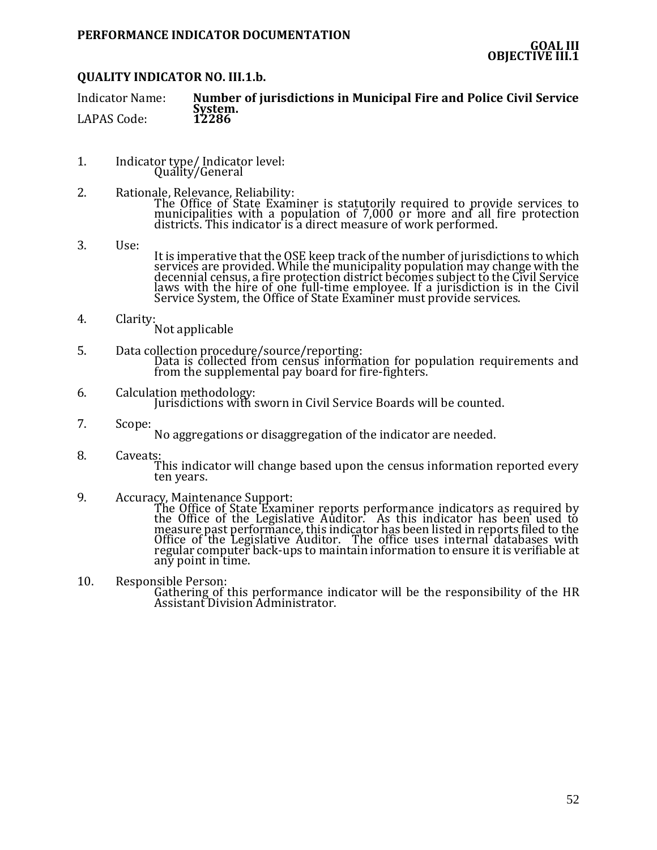# **QUALITY INDICATOR NO. III.1.b.**

| <b>Indicator Name:</b> | Number of jurisdictions in Municipal Fire and Police Civil Service |
|------------------------|--------------------------------------------------------------------|
|                        | System.                                                            |
| <b>LAPAS Code:</b>     | 12286                                                              |

- 1. Indicator type/ Indicator level: Quality/General
- 2. Rationale, Relevance, Reliability: The Office of State Examiner is statutorily required to provide services to municipalities with a population of 7,000 or more and all fire protection districts. This indicator is a direct measure of work performed.
- 3. Use:

It is imperative that the OSE keep track of the number of jurisdictions to which services are provided. While the municipality population may change with the decennial census, a fire protection district becomes subject to the Civil Service laws with the hire of one full-time employee. If a jurisdiction is in the Civil Service System, the Office of State Examiner must provide services.

- 4. Clarity:
	- Not applicable
- 5. Data collection procedure/source/reporting: Data is collected from census information for population requirements and from the supplemental pay board for fire-fighters.
- 6. Calculation methodology: Jurisdictions with sworn in Civil Service Boards will be counted.
- 7. Scope:

No aggregations or disaggregation of the indicator are needed.

- 8. Caveats: This indicator will change based upon the census information reported every ten years.
- 9. Accuracy, Maintenance Support:

The Office of State Examiner reports performance indicators as required by the Office of the Legislative Auditor. As this indicator has been used to measure past performance, this indicator has been listed in reports filed to the Office of the Legislative Auditor. The office uses internal databases with regular computer back-ups to maintain information to ensure it is verifiable at any point in time.

10. Responsible Person: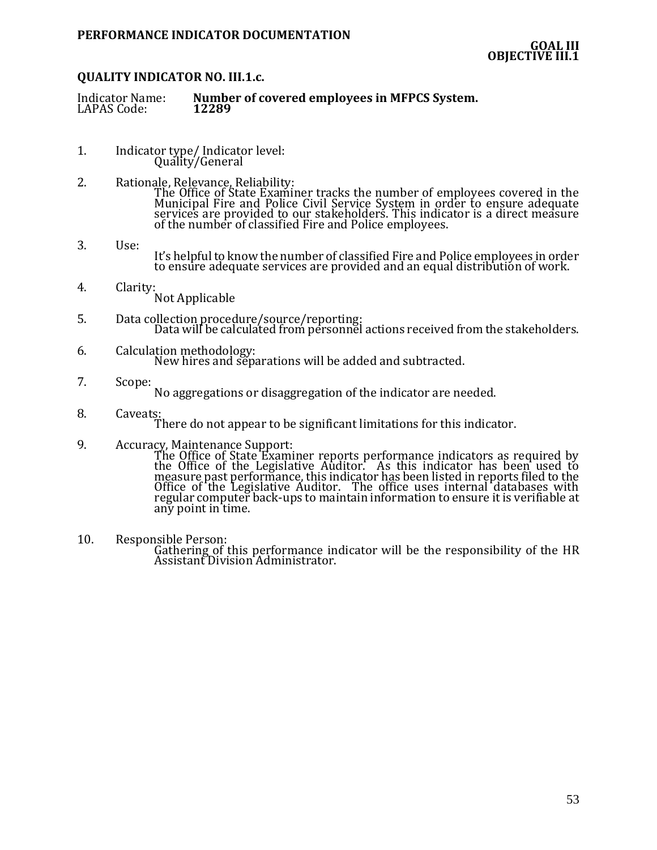# **QUALITY INDICATOR NO. III.1.c.**

| <b>Indicator Name:</b> | Number of covered employees in MFPCS System. |
|------------------------|----------------------------------------------|
| LAPAS Code:            | 12289                                        |

- 1. Indicator type/ Indicator level: Quality/General
- 2. Rationale, Relevance, Reliability: The Office of State Examiner tracks the number of employees covered in the Municipal Fire and Police Civil Service System in order to ensure adequate services are provided to our stakeholders. This indicator is a direct measure of the number of classified Fire and Police employees.
- 3. Use: It's helpful to know the number of classified Fire and Police employees in order to ensure adequate services are provided and an equal distribution of work.
- 4. Clarity: Not Applicable
- 5. Data collection procedure/source/reporting: Data will be calculated from personnel actions received from the stakeholders.
- 6. Calculation methodology: New hires and separations will be added and subtracted.
- 7. Scope:

No aggregations or disaggregation of the indicator are needed.

- 8. Caveats: There do not appear to be significant limitations for this indicator.
- 9. Accuracy, Maintenance Support:

The Office of State Examiner reports performance indicators as required by the Office of the Legislative Auditor. As this indicator has been used to measure past performance, this indicator has been listed in reports filed to the Office of the Legislative Auditor. The office uses internal databases with regular computer back-ups to maintain information to ensure it is verifiable at any point in time.

10. Responsible Person: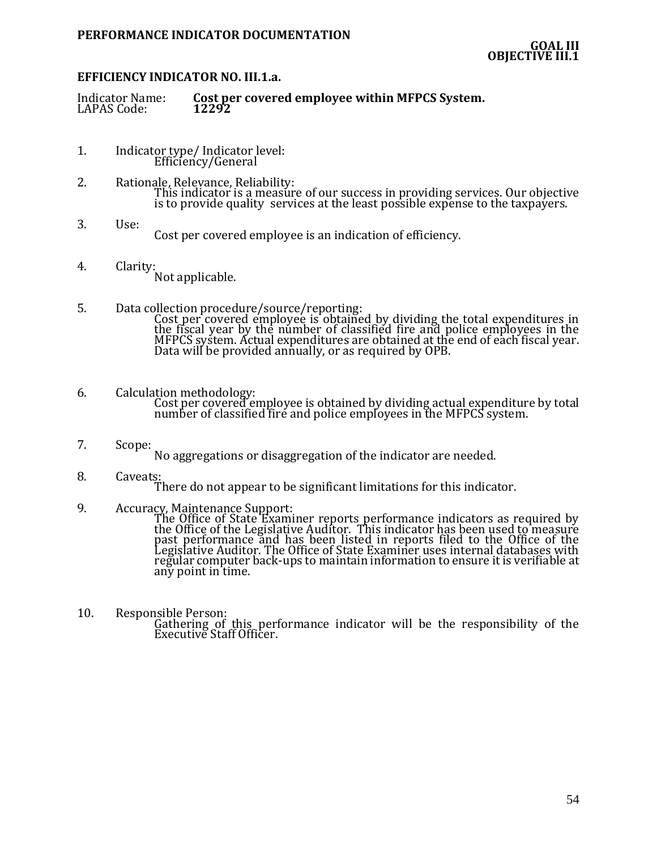# **EFFICIENCY INDICATOR NO. III.1.a.**

| <b>Indicator Name:</b> | Cost per covered employee within MFPCS System. |
|------------------------|------------------------------------------------|
| LAPAS Code:            | 12292                                          |

- 1. Indicator type/ Indicator level: Efficiency/General
- 2. Rationale, Relevance, Reliability: This indicator is a measure of our success in providing services. Our objective is to provide quality services at the least possible expense to the taxpayers.
- 3. Use: Cost per covered employee is an indication of efficiency.
- 4. Clarity: Not applicable.
- 5. Data collection procedure/source/reporting: Cost per covered employee is obtained by dividing the total expenditures in the fiscal year by the number of classified fire and police employees in the MFPCS system. Actual expenditures are obtained at the end of each fiscal year. Data will be provided annually, or as required by OPB.
- 6. Calculation methodology: Cost per covered employee is obtained by dividing actual expenditure by total number of classified fire and police employees in the MFPCS system.
- 7. Scope: No aggregations or disaggregation of the indicator are needed.
- 8. Caveats:

There do not appear to be significant limitations for this indicator.

9. Accuracy, Maintenance Support:

The Office of State Examiner reports performance indicators as required by the Office of the Legislative Auditor. This indicator has been used to measure past performance and has been listed in reports filed to the Office of the Legislative Auditor. The Office of State Examiner uses internal databases with regular computer back-ups to maintain information to ensure it is verifiable at any point in time.

10. Responsible Person: Gathering of this performance indicator will be the responsibility of the Executive Staff Officer.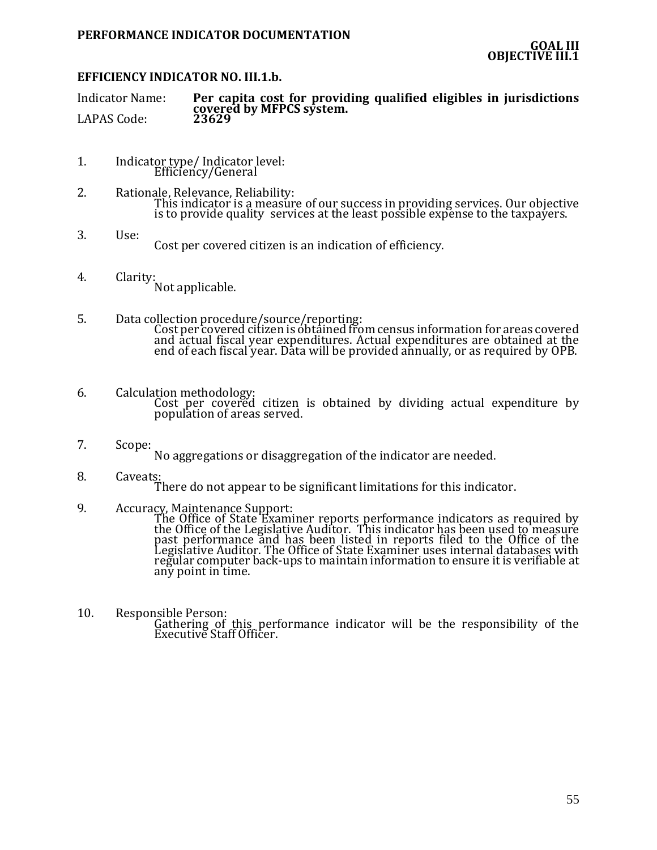# **EFFICIENCY INDICATOR NO. III.1.b.**

Indicator Name: **Per capita cost for providing qualified eligibles in jurisdictions covered by MFPCS system.** LAPAS Code:

- 1. Indicator type/ Indicator level: Efficiency/General
- 2. Rationale, Relevance, Reliability: This indicator is a measure of our success in providing services. Our objective is to provide quality services at the least possible expense to the taxpayers.
- 3. Use: Cost per covered citizen is an indication of efficiency.
- 4. Clarity: Not applicable.
- 5. Data collection procedure/source/reporting: Cost per covered citizen is obtained from census information for areas covered and actual fiscal year expenditures. Actual expenditures are obtained at the end of each fiscal year. Data will be provided annually, or as required by OPB.
- 6. Calculation methodology: Cost per covered citizen is obtained by dividing actual expenditure by population of areas served.
- 7. Scope: No aggregations or disaggregation of the indicator are needed.
- 8. Caveats: There do not appear to be significant limitations for this indicator.
- 9. Accuracy, Maintenance Support:

The Office of State Examiner reports performance indicators as required by the Office of the Legislative Auditor. This indicator has been used to measure past performance and has been listed in reports filed to the Office of the Legislative Auditor. The Office of State Examiner uses internal databases with regular computer back-ups to maintain information to ensure it is verifiable at any point in time.

10. Responsible Person: Gathering of this performance indicator will be the responsibility of the Executive Staff Officer.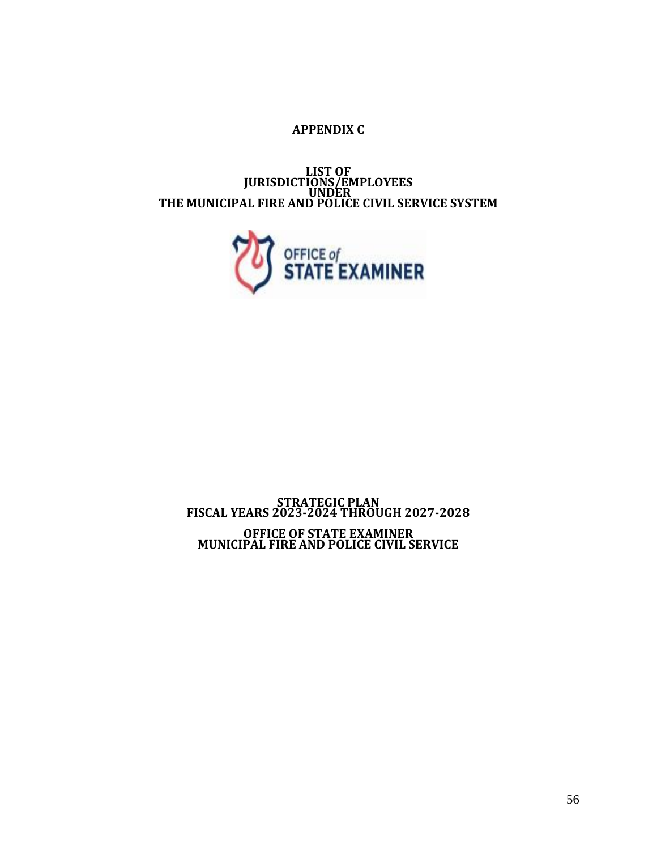# **APPENDIX C**

**LIST OF JURISDICTIONS/EMPLOYEES UNDER THE MUNICIPAL FIRE AND POLICE CIVIL SERVICE SYSTEM**



# **STRATEGIC PLAN FISCAL YEARS 2023-2024 THROUGH 2027-2028 OFFICE OF STATE EXAMINER MUNICIPAL FIRE AND POLICE CIVIL SERVICE**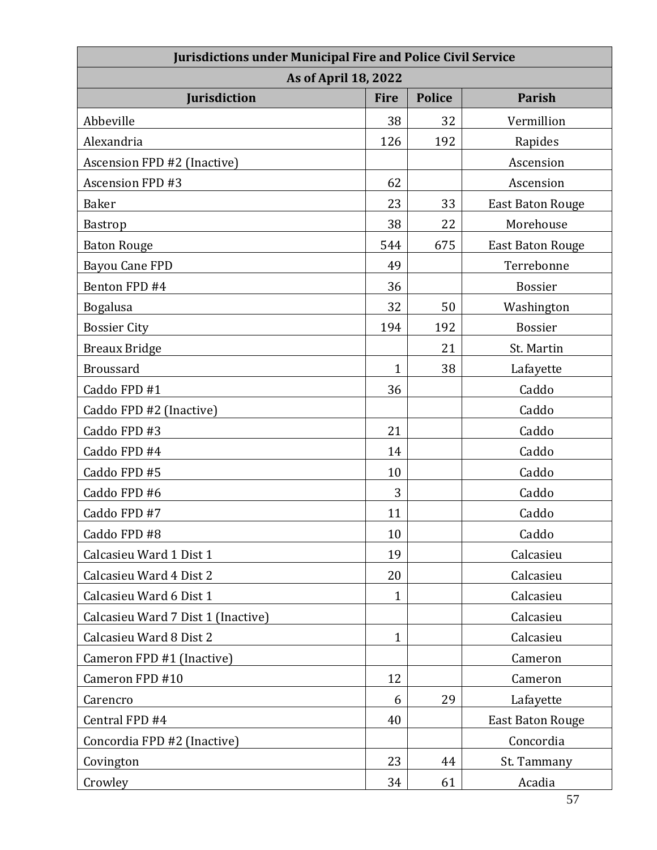| <b>Jurisdictions under Municipal Fire and Police Civil Service</b> |              |               |                         |  |
|--------------------------------------------------------------------|--------------|---------------|-------------------------|--|
| <b>As of April 18, 2022</b>                                        |              |               |                         |  |
| <b>Jurisdiction</b>                                                | <b>Fire</b>  | <b>Police</b> | <b>Parish</b>           |  |
| Abbeville                                                          | 38           | 32            | Vermillion              |  |
| Alexandria                                                         | 126          | 192           | Rapides                 |  |
| Ascension FPD #2 (Inactive)                                        |              |               | Ascension               |  |
| <b>Ascension FPD #3</b>                                            | 62           |               | Ascension               |  |
| <b>Baker</b>                                                       | 23           | 33            | <b>East Baton Rouge</b> |  |
| Bastrop                                                            | 38           | 22            | Morehouse               |  |
| <b>Baton Rouge</b>                                                 | 544          | 675           | <b>East Baton Rouge</b> |  |
| <b>Bayou Cane FPD</b>                                              | 49           |               | Terrebonne              |  |
| Benton FPD #4                                                      | 36           |               | <b>Bossier</b>          |  |
| <b>Bogalusa</b>                                                    | 32           | 50            | Washington              |  |
| <b>Bossier City</b>                                                | 194          | 192           | <b>Bossier</b>          |  |
| <b>Breaux Bridge</b>                                               |              | 21            | St. Martin              |  |
| <b>Broussard</b>                                                   | $\mathbf{1}$ | 38            | Lafayette               |  |
| Caddo FPD #1                                                       | 36           |               | Caddo                   |  |
| Caddo FPD #2 (Inactive)                                            |              |               | Caddo                   |  |
| Caddo FPD #3                                                       | 21           |               | Caddo                   |  |
| Caddo FPD #4                                                       | 14           |               | Caddo                   |  |
| Caddo FPD #5                                                       | 10           |               | Caddo                   |  |
| Caddo FPD #6                                                       | 3            |               | Caddo                   |  |
| Caddo FPD #7                                                       | 11           |               | Caddo                   |  |
| Caddo FPD #8                                                       | 10           |               | Caddo                   |  |
| Calcasieu Ward 1 Dist 1                                            | 19           |               | Calcasieu               |  |
| Calcasieu Ward 4 Dist 2                                            | 20           |               | Calcasieu               |  |
| Calcasieu Ward 6 Dist 1                                            | $\mathbf{1}$ |               | Calcasieu               |  |
| Calcasieu Ward 7 Dist 1 (Inactive)                                 |              |               | Calcasieu               |  |
| Calcasieu Ward 8 Dist 2                                            | $\mathbf{1}$ |               | Calcasieu               |  |
| Cameron FPD #1 (Inactive)                                          |              |               | Cameron                 |  |
| Cameron FPD #10                                                    | 12           |               | Cameron                 |  |
| Carencro                                                           | 6            | 29            | Lafayette               |  |
| Central FPD #4                                                     | 40           |               | <b>East Baton Rouge</b> |  |
| Concordia FPD #2 (Inactive)                                        |              |               | Concordia               |  |
| Covington                                                          | 23           | 44            | St. Tammany             |  |
| Crowley                                                            | 34           | 61            | Acadia                  |  |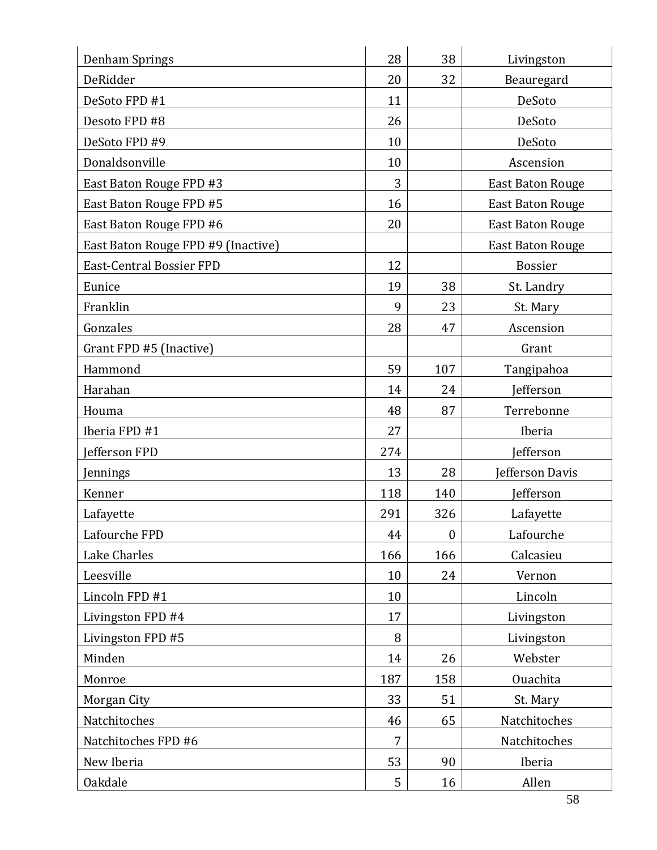| Denham Springs                     | 28  | 38               | Livingston              |
|------------------------------------|-----|------------------|-------------------------|
| DeRidder                           | 20  | 32               | Beauregard              |
| DeSoto FPD #1                      | 11  |                  | DeSoto                  |
| Desoto FPD #8                      | 26  |                  | DeSoto                  |
| DeSoto FPD #9                      | 10  |                  | DeSoto                  |
| Donaldsonville                     | 10  |                  | Ascension               |
| East Baton Rouge FPD #3            | 3   |                  | <b>East Baton Rouge</b> |
| East Baton Rouge FPD #5            | 16  |                  | <b>East Baton Rouge</b> |
| East Baton Rouge FPD #6            | 20  |                  | <b>East Baton Rouge</b> |
| East Baton Rouge FPD #9 (Inactive) |     |                  | <b>East Baton Rouge</b> |
| <b>East-Central Bossier FPD</b>    | 12  |                  | <b>Bossier</b>          |
| Eunice                             | 19  | 38               | St. Landry              |
| Franklin                           | 9   | 23               | St. Mary                |
| Gonzales                           | 28  | 47               | Ascension               |
| Grant FPD #5 (Inactive)            |     |                  | Grant                   |
| Hammond                            | 59  | 107              | Tangipahoa              |
| Harahan                            | 14  | 24               | Jefferson               |
| Houma                              | 48  | 87               | Terrebonne              |
| Iberia FPD #1                      | 27  |                  | Iberia                  |
| Jefferson FPD                      | 274 |                  | <b>Jefferson</b>        |
| Jennings                           | 13  | 28               | Jefferson Davis         |
| Kenner                             | 118 | 140              | Jefferson               |
| Lafayette                          | 291 | 326              | Lafayette               |
| Lafourche FPD                      | 44  | $\boldsymbol{0}$ | Lafourche               |
| Lake Charles                       | 166 | 166              | Calcasieu               |
| Leesville                          | 10  | 24               | Vernon                  |
| Lincoln FPD #1                     | 10  |                  | Lincoln                 |
| Livingston FPD #4                  | 17  |                  | Livingston              |
| Livingston FPD #5                  | 8   |                  | Livingston              |
| Minden                             | 14  | 26               | Webster                 |
| Monroe                             | 187 | 158              | Ouachita                |
| Morgan City                        | 33  | 51               | St. Mary                |
| Natchitoches                       | 46  | 65               | Natchitoches            |
| Natchitoches FPD #6                | 7   |                  | Natchitoches            |
| New Iberia                         | 53  | 90               | Iberia                  |
| <b>Oakdale</b>                     |     |                  |                         |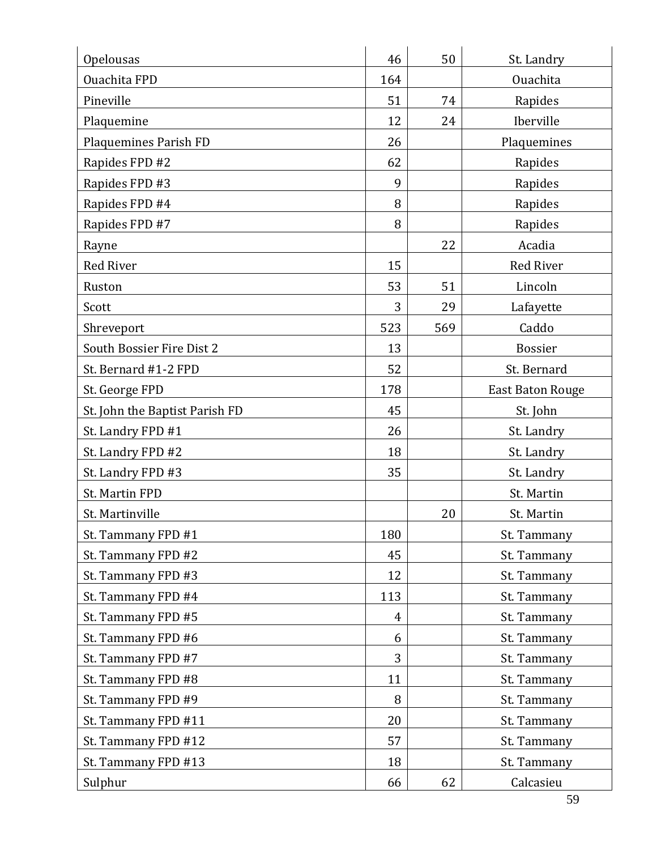| Opelousas                      | 46             | 50  | St. Landry              |
|--------------------------------|----------------|-----|-------------------------|
| Ouachita FPD                   | 164            |     | Ouachita                |
| Pineville                      | 51             | 74  | Rapides                 |
| Plaquemine                     | 12             | 24  | Iberville               |
| Plaquemines Parish FD          | 26             |     | Plaquemines             |
| Rapides FPD #2                 | 62             |     | Rapides                 |
| Rapides FPD #3                 | 9              |     | Rapides                 |
| Rapides FPD #4                 | 8              |     | Rapides                 |
| Rapides FPD #7                 | 8              |     | Rapides                 |
| Rayne                          |                | 22  | Acadia                  |
| <b>Red River</b>               | 15             |     | <b>Red River</b>        |
| Ruston                         | 53             | 51  | Lincoln                 |
| Scott                          | 3              | 29  | Lafayette               |
| Shreveport                     | 523            | 569 | Caddo                   |
| South Bossier Fire Dist 2      | 13             |     | <b>Bossier</b>          |
| St. Bernard #1-2 FPD           | 52             |     | St. Bernard             |
| St. George FPD                 | 178            |     | <b>East Baton Rouge</b> |
| St. John the Baptist Parish FD | 45             |     | St. John                |
| St. Landry FPD #1              | 26             |     | St. Landry              |
| St. Landry FPD #2              | 18             |     | St. Landry              |
| St. Landry FPD #3              | 35             |     | St. Landry              |
| St. Martin FPD                 |                |     | St. Martin              |
| St. Martinville                |                | 20  | St. Martin              |
| St. Tammany FPD #1             | 180            |     | St. Tammany             |
| St. Tammany FPD #2             | 45             |     | St. Tammany             |
| St. Tammany FPD #3             | 12             |     | St. Tammany             |
| St. Tammany FPD #4             | 113            |     | St. Tammany             |
| St. Tammany FPD #5             | $\overline{4}$ |     | St. Tammany             |
| St. Tammany FPD #6             | 6              |     | St. Tammany             |
| St. Tammany FPD #7             | 3              |     | St. Tammany             |
| St. Tammany FPD #8             | 11             |     | St. Tammany             |
| St. Tammany FPD #9             | 8              |     | St. Tammany             |
| St. Tammany FPD #11            | 20             |     | St. Tammany             |
| St. Tammany FPD #12            | 57             |     | St. Tammany             |
| St. Tammany FPD #13            | 18             |     | St. Tammany             |
| Sulphur                        | 66             | 62  | Calcasieu               |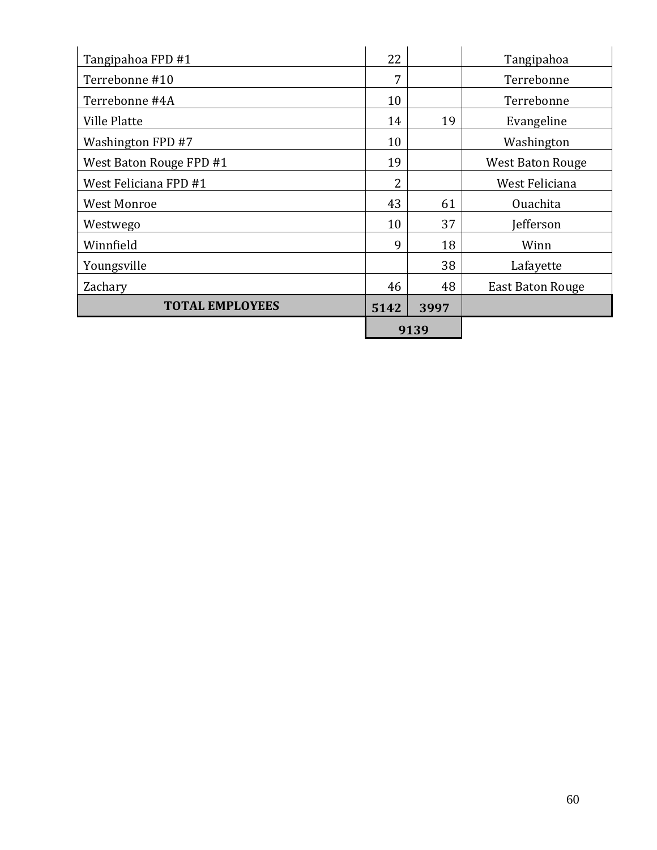| Tangipahoa FPD #1       | 22   |      | Tangipahoa              |
|-------------------------|------|------|-------------------------|
| Terrebonne #10          | 7    |      | Terrebonne              |
| Terrebonne #4A          | 10   |      | Terrebonne              |
| <b>Ville Platte</b>     | 14   | 19   | Evangeline              |
| Washington FPD #7       | 10   |      | Washington              |
| West Baton Rouge FPD #1 | 19   |      | <b>West Baton Rouge</b> |
| West Feliciana FPD #1   | 2    |      | West Feliciana          |
| <b>West Monroe</b>      | 43   | 61   | <b>Ouachita</b>         |
| Westwego                | 10   | 37   | efferson)               |
| Winnfield               | 9    | 18   | Winn                    |
| Youngsville             |      | 38   | Lafayette               |
| Zachary                 | 46   | 48   | <b>East Baton Rouge</b> |
| <b>TOTAL EMPLOYEES</b>  | 5142 | 3997 |                         |
|                         | 9139 |      |                         |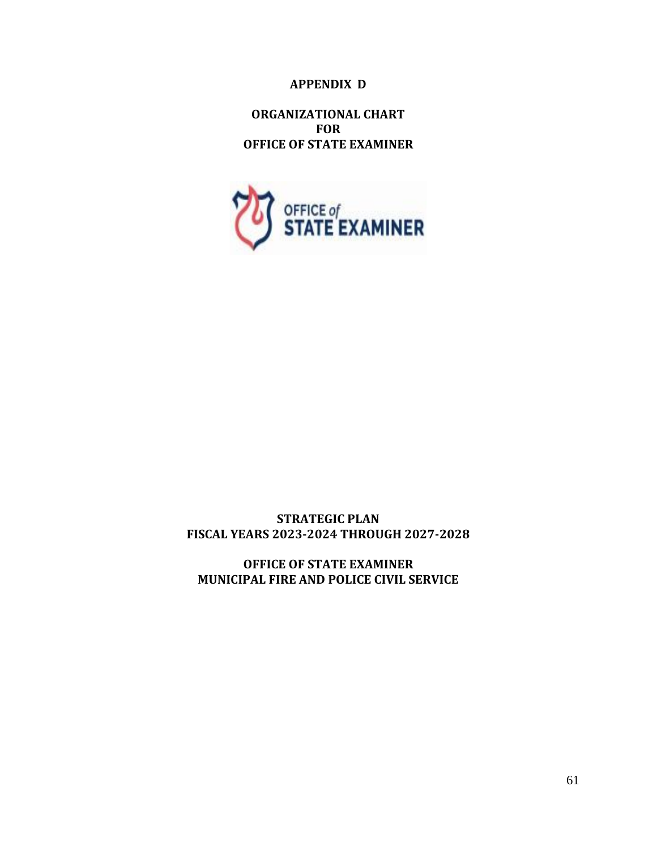# **APPENDIX D**

**ORGANIZATIONAL CHART FOR OFFICE OF STATE EXAMINER**



# **STRATEGIC PLAN FISCAL YEARS 2023-2024 THROUGH 2027-2028**

**OFFICE OF STATE EXAMINER MUNICIPAL FIRE AND POLICE CIVIL SERVICE**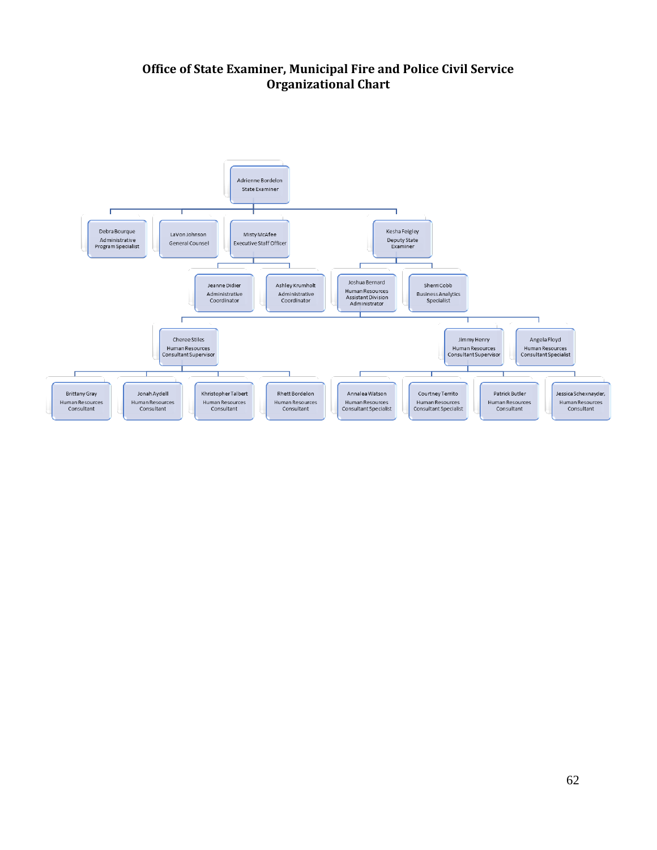# **Office of State Examiner, Municipal Fire and Police Civil Service Organizational Chart**

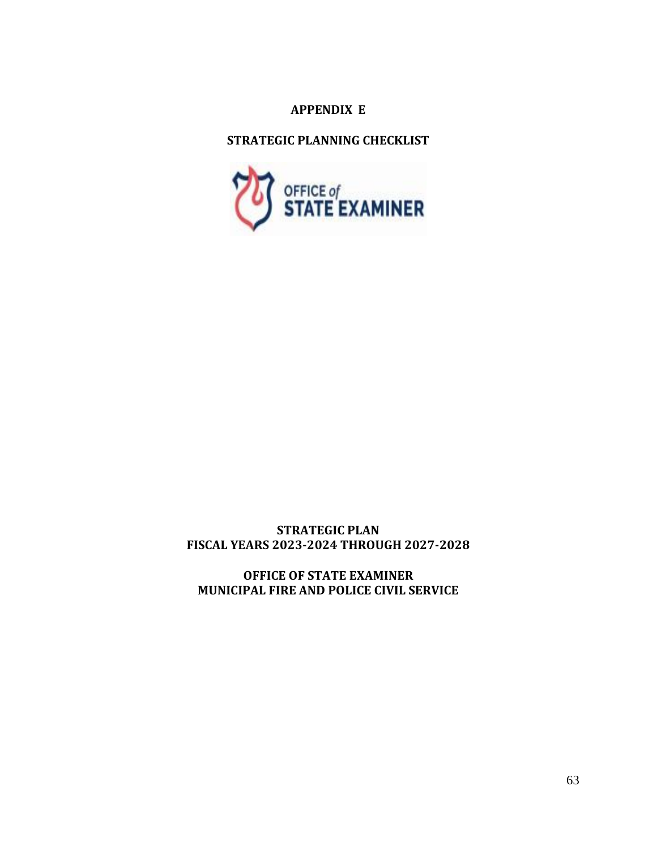# **APPENDIX E**

**STRATEGIC PLANNING CHECKLIST**



# **STRATEGIC PLAN FISCAL YEARS 2023-2024 THROUGH 2027-2028**

**OFFICE OF STATE EXAMINER MUNICIPAL FIRE AND POLICE CIVIL SERVICE**